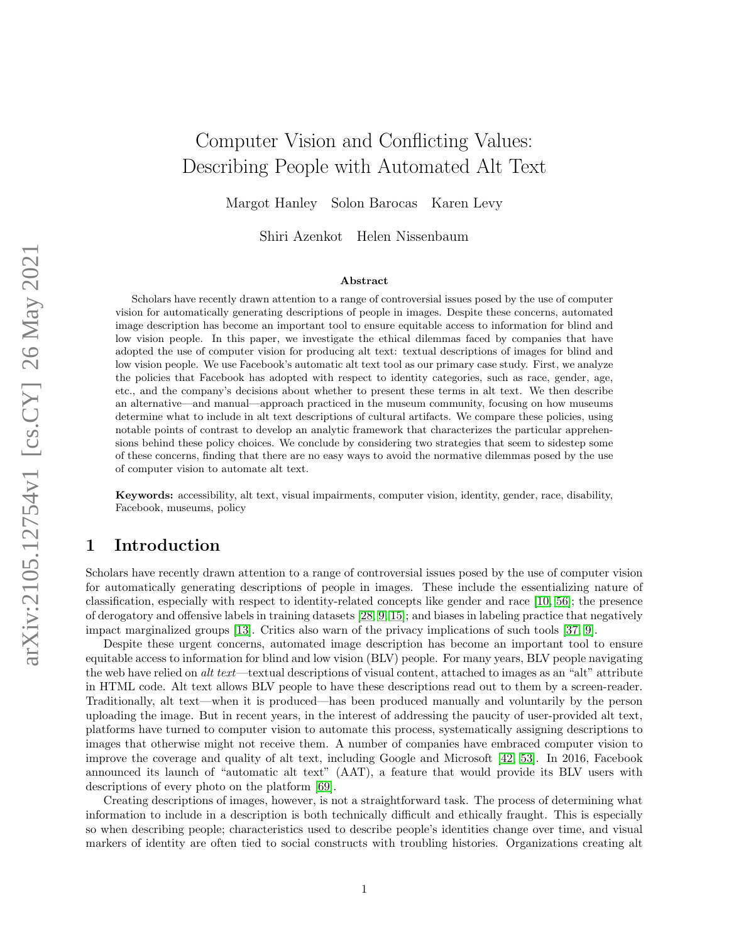# Computer Vision and Conflicting Values: Describing People with Automated Alt Text

Margot Hanley Solon Barocas Karen Levy

Shiri Azenkot Helen Nissenbaum

#### Abstract

Scholars have recently drawn attention to a range of controversial issues posed by the use of computer vision for automatically generating descriptions of people in images. Despite these concerns, automated image description has become an important tool to ensure equitable access to information for blind and low vision people. In this paper, we investigate the ethical dilemmas faced by companies that have adopted the use of computer vision for producing alt text: textual descriptions of images for blind and low vision people. We use Facebook's automatic alt text tool as our primary case study. First, we analyze the policies that Facebook has adopted with respect to identity categories, such as race, gender, age, etc., and the company's decisions about whether to present these terms in alt text. We then describe an alternative—and manual—approach practiced in the museum community, focusing on how museums determine what to include in alt text descriptions of cultural artifacts. We compare these policies, using notable points of contrast to develop an analytic framework that characterizes the particular apprehensions behind these policy choices. We conclude by considering two strategies that seem to sidestep some of these concerns, finding that there are no easy ways to avoid the normative dilemmas posed by the use of computer vision to automate alt text.

Keywords: accessibility, alt text, visual impairments, computer vision, identity, gender, race, disability, Facebook, museums, policy

# 1 Introduction

Scholars have recently drawn attention to a range of controversial issues posed by the use of computer vision for automatically generating descriptions of people in images. These include the essentializing nature of classification, especially with respect to identity-related concepts like gender and race [\[10,](#page-15-0) [56\]](#page-17-0); the presence of derogatory and offensive labels in training datasets [\[28,](#page-16-0) [9,](#page-15-1) [15\]](#page-15-2); and biases in labeling practice that negatively impact marginalized groups [\[13\]](#page-15-3). Critics also warn of the privacy implications of such tools [\[37,](#page-16-1) [9\]](#page-15-1).

Despite these urgent concerns, automated image description has become an important tool to ensure equitable access to information for blind and low vision (BLV) people. For many years, BLV people navigating the web have relied on alt text—textual descriptions of visual content, attached to images as an "alt" attribute in HTML code. Alt text allows BLV people to have these descriptions read out to them by a screen-reader. Traditionally, alt text—when it is produced—has been produced manually and voluntarily by the person uploading the image. But in recent years, in the interest of addressing the paucity of user-provided alt text, platforms have turned to computer vision to automate this process, systematically assigning descriptions to images that otherwise might not receive them. A number of companies have embraced computer vision to improve the coverage and quality of alt text, including Google and Microsoft [\[42,](#page-17-1) [53\]](#page-17-2). In 2016, Facebook announced its launch of "automatic alt text" (AAT), a feature that would provide its BLV users with descriptions of every photo on the platform [\[69\]](#page-18-0).

Creating descriptions of images, however, is not a straightforward task. The process of determining what information to include in a description is both technically difficult and ethically fraught. This is especially so when describing people; characteristics used to describe people's identities change over time, and visual markers of identity are often tied to social constructs with troubling histories. Organizations creating alt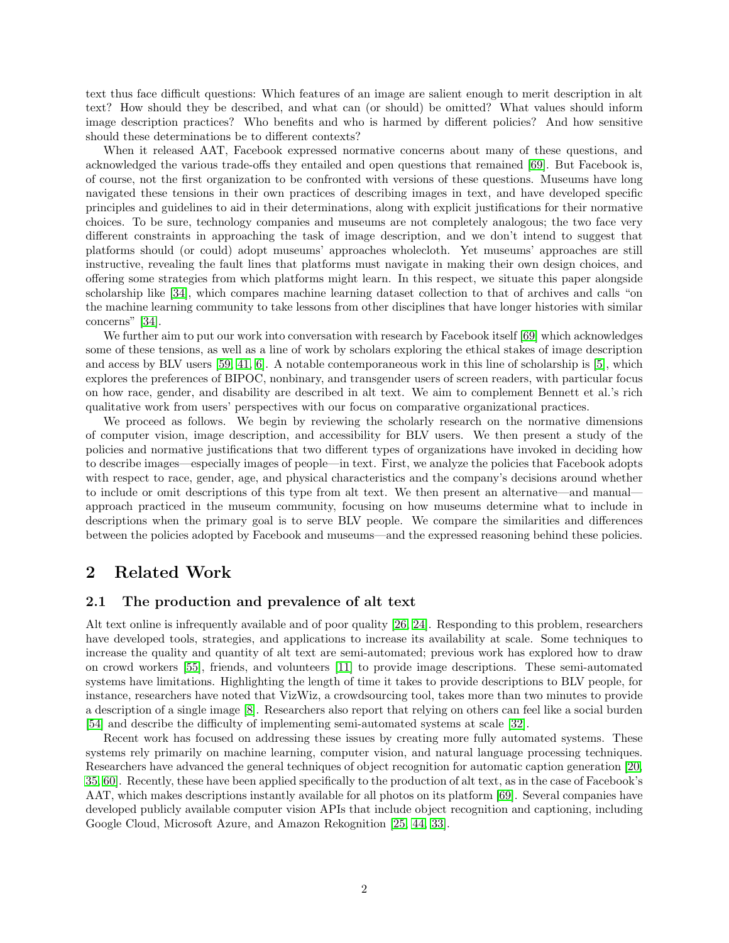text thus face difficult questions: Which features of an image are salient enough to merit description in alt text? How should they be described, and what can (or should) be omitted? What values should inform image description practices? Who benefits and who is harmed by different policies? And how sensitive should these determinations be to different contexts?

When it released AAT, Facebook expressed normative concerns about many of these questions, and acknowledged the various trade-offs they entailed and open questions that remained [\[69\]](#page-18-0). But Facebook is, of course, not the first organization to be confronted with versions of these questions. Museums have long navigated these tensions in their own practices of describing images in text, and have developed specific principles and guidelines to aid in their determinations, along with explicit justifications for their normative choices. To be sure, technology companies and museums are not completely analogous; the two face very different constraints in approaching the task of image description, and we don't intend to suggest that platforms should (or could) adopt museums' approaches wholecloth. Yet museums' approaches are still instructive, revealing the fault lines that platforms must navigate in making their own design choices, and offering some strategies from which platforms might learn. In this respect, we situate this paper alongside scholarship like [\[34\]](#page-16-2), which compares machine learning dataset collection to that of archives and calls "on the machine learning community to take lessons from other disciplines that have longer histories with similar concerns" [\[34\]](#page-16-2).

We further aim to put our work into conversation with research by Facebook itself [\[69\]](#page-18-0) which acknowledges some of these tensions, as well as a line of work by scholars exploring the ethical stakes of image description and access by BLV users [\[59,](#page-17-3) [41,](#page-16-3) [6\]](#page-15-4). A notable contemporaneous work in this line of scholarship is [\[5\]](#page-15-5), which explores the preferences of BIPOC, nonbinary, and transgender users of screen readers, with particular focus on how race, gender, and disability are described in alt text. We aim to complement Bennett et al.'s rich qualitative work from users' perspectives with our focus on comparative organizational practices.

We proceed as follows. We begin by reviewing the scholarly research on the normative dimensions of computer vision, image description, and accessibility for BLV users. We then present a study of the policies and normative justifications that two different types of organizations have invoked in deciding how to describe images—especially images of people—in text. First, we analyze the policies that Facebook adopts with respect to race, gender, age, and physical characteristics and the company's decisions around whether to include or omit descriptions of this type from alt text. We then present an alternative—and manual approach practiced in the museum community, focusing on how museums determine what to include in descriptions when the primary goal is to serve BLV people. We compare the similarities and differences between the policies adopted by Facebook and museums—and the expressed reasoning behind these policies.

### 2 Related Work

### 2.1 The production and prevalence of alt text

Alt text online is infrequently available and of poor quality [\[26,](#page-16-4) [24\]](#page-16-5). Responding to this problem, researchers have developed tools, strategies, and applications to increase its availability at scale. Some techniques to increase the quality and quantity of alt text are semi-automated; previous work has explored how to draw on crowd workers [\[55\]](#page-17-4), friends, and volunteers [\[11\]](#page-15-6) to provide image descriptions. These semi-automated systems have limitations. Highlighting the length of time it takes to provide descriptions to BLV people, for instance, researchers have noted that VizWiz, a crowdsourcing tool, takes more than two minutes to provide a description of a single image [\[8\]](#page-15-7). Researchers also report that relying on others can feel like a social burden [\[54\]](#page-17-5) and describe the difficulty of implementing semi-automated systems at scale [\[32\]](#page-16-6).

Recent work has focused on addressing these issues by creating more fully automated systems. These systems rely primarily on machine learning, computer vision, and natural language processing techniques. Researchers have advanced the general techniques of object recognition for automatic caption generation [\[20,](#page-15-8) [35,](#page-16-7) [60\]](#page-17-6). Recently, these have been applied specifically to the production of alt text, as in the case of Facebook's AAT, which makes descriptions instantly available for all photos on its platform [\[69\]](#page-18-0). Several companies have developed publicly available computer vision APIs that include object recognition and captioning, including Google Cloud, Microsoft Azure, and Amazon Rekognition [\[25,](#page-16-8) [44,](#page-17-7) [33\]](#page-16-9).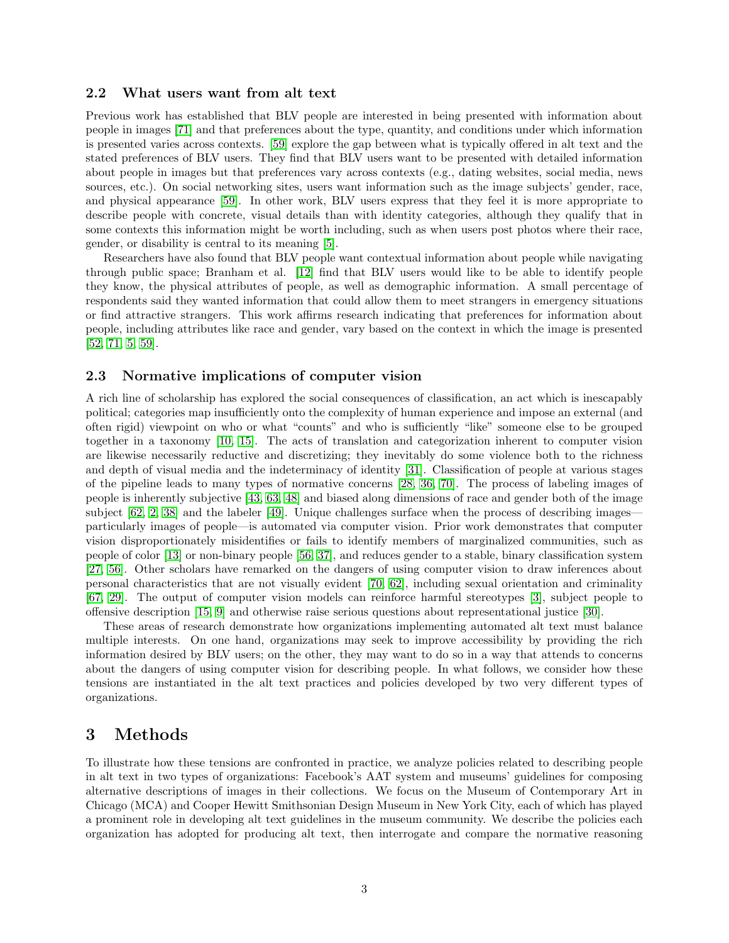#### 2.2 What users want from alt text

Previous work has established that BLV people are interested in being presented with information about people in images [\[71\]](#page-18-1) and that preferences about the type, quantity, and conditions under which information is presented varies across contexts. [\[59\]](#page-17-3) explore the gap between what is typically offered in alt text and the stated preferences of BLV users. They find that BLV users want to be presented with detailed information about people in images but that preferences vary across contexts (e.g., dating websites, social media, news sources, etc.). On social networking sites, users want information such as the image subjects' gender, race, and physical appearance [\[59\]](#page-17-3). In other work, BLV users express that they feel it is more appropriate to describe people with concrete, visual details than with identity categories, although they qualify that in some contexts this information might be worth including, such as when users post photos where their race, gender, or disability is central to its meaning [\[5\]](#page-15-5).

Researchers have also found that BLV people want contextual information about people while navigating through public space; Branham et al. [\[12\]](#page-15-9) find that BLV users would like to be able to identify people they know, the physical attributes of people, as well as demographic information. A small percentage of respondents said they wanted information that could allow them to meet strangers in emergency situations or find attractive strangers. This work affirms research indicating that preferences for information about people, including attributes like race and gender, vary based on the context in which the image is presented [\[52,](#page-17-8) [71,](#page-18-1) [5,](#page-15-5) [59\]](#page-17-3).

#### 2.3 Normative implications of computer vision

A rich line of scholarship has explored the social consequences of classification, an act which is inescapably political; categories map insufficiently onto the complexity of human experience and impose an external (and often rigid) viewpoint on who or what "counts" and who is sufficiently "like" someone else to be grouped together in a taxonomy [\[10,](#page-15-0) [15\]](#page-15-2). The acts of translation and categorization inherent to computer vision are likewise necessarily reductive and discretizing; they inevitably do some violence both to the richness and depth of visual media and the indeterminacy of identity [\[31\]](#page-16-10). Classification of people at various stages of the pipeline leads to many types of normative concerns [\[28,](#page-16-0) [36,](#page-16-11) [70\]](#page-18-2). The process of labeling images of people is inherently subjective [\[43,](#page-17-9) [63,](#page-18-3) [48\]](#page-17-10) and biased along dimensions of race and gender both of the image subject  $[62, 2, 38]$  $[62, 2, 38]$  $[62, 2, 38]$  and the labeler  $[49]$ . Unique challenges surface when the process of describing imagesparticularly images of people—is automated via computer vision. Prior work demonstrates that computer vision disproportionately misidentifies or fails to identify members of marginalized communities, such as people of color [\[13\]](#page-15-3) or non-binary people [\[56,](#page-17-0) [37\]](#page-16-1), and reduces gender to a stable, binary classification system [\[27,](#page-16-13) [56\]](#page-17-0). Other scholars have remarked on the dangers of using computer vision to draw inferences about personal characteristics that are not visually evident [\[70,](#page-18-2) [62\]](#page-18-4), including sexual orientation and criminality [\[67,](#page-18-5) [29\]](#page-16-14). The output of computer vision models can reinforce harmful stereotypes [\[3\]](#page-14-1), subject people to offensive description [\[15,](#page-15-2) [9\]](#page-15-1) and otherwise raise serious questions about representational justice [\[30\]](#page-16-15).

These areas of research demonstrate how organizations implementing automated alt text must balance multiple interests. On one hand, organizations may seek to improve accessibility by providing the rich information desired by BLV users; on the other, they may want to do so in a way that attends to concerns about the dangers of using computer vision for describing people. In what follows, we consider how these tensions are instantiated in the alt text practices and policies developed by two very different types of organizations.

## 3 Methods

To illustrate how these tensions are confronted in practice, we analyze policies related to describing people in alt text in two types of organizations: Facebook's AAT system and museums' guidelines for composing alternative descriptions of images in their collections. We focus on the Museum of Contemporary Art in Chicago (MCA) and Cooper Hewitt Smithsonian Design Museum in New York City, each of which has played a prominent role in developing alt text guidelines in the museum community. We describe the policies each organization has adopted for producing alt text, then interrogate and compare the normative reasoning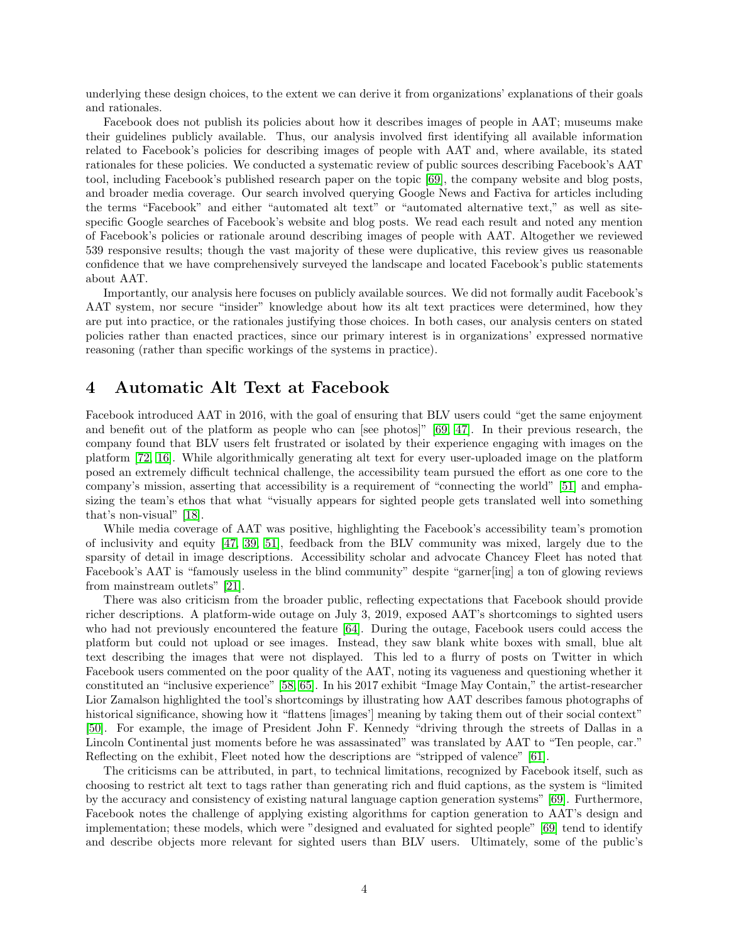underlying these design choices, to the extent we can derive it from organizations' explanations of their goals and rationales.

Facebook does not publish its policies about how it describes images of people in AAT; museums make their guidelines publicly available. Thus, our analysis involved first identifying all available information related to Facebook's policies for describing images of people with AAT and, where available, its stated rationales for these policies. We conducted a systematic review of public sources describing Facebook's AAT tool, including Facebook's published research paper on the topic [\[69\]](#page-18-0), the company website and blog posts, and broader media coverage. Our search involved querying Google News and Factiva for articles including the terms "Facebook" and either "automated alt text" or "automated alternative text," as well as sitespecific Google searches of Facebook's website and blog posts. We read each result and noted any mention of Facebook's policies or rationale around describing images of people with AAT. Altogether we reviewed 539 responsive results; though the vast majority of these were duplicative, this review gives us reasonable confidence that we have comprehensively surveyed the landscape and located Facebook's public statements about AAT.

Importantly, our analysis here focuses on publicly available sources. We did not formally audit Facebook's AAT system, nor secure "insider" knowledge about how its alt text practices were determined, how they are put into practice, or the rationales justifying those choices. In both cases, our analysis centers on stated policies rather than enacted practices, since our primary interest is in organizations' expressed normative reasoning (rather than specific workings of the systems in practice).

### 4 Automatic Alt Text at Facebook

Facebook introduced AAT in 2016, with the goal of ensuring that BLV users could "get the same enjoyment and benefit out of the platform as people who can [see photos]" [\[69,](#page-18-0) [47\]](#page-17-12). In their previous research, the company found that BLV users felt frustrated or isolated by their experience engaging with images on the platform [\[72,](#page-18-6) [16\]](#page-15-10). While algorithmically generating alt text for every user-uploaded image on the platform posed an extremely difficult technical challenge, the accessibility team pursued the effort as one core to the company's mission, asserting that accessibility is a requirement of "connecting the world" [\[51\]](#page-17-13) and emphasizing the team's ethos that what "visually appears for sighted people gets translated well into something that's non-visual" [\[18\]](#page-15-11).

While media coverage of AAT was positive, highlighting the Facebook's accessibility team's promotion of inclusivity and equity [\[47,](#page-17-12) [39,](#page-16-16) [51\]](#page-17-13), feedback from the BLV community was mixed, largely due to the sparsity of detail in image descriptions. Accessibility scholar and advocate Chancey Fleet has noted that Facebook's AAT is "famously useless in the blind community" despite "garner[ing] a ton of glowing reviews from mainstream outlets" [\[21\]](#page-15-12).

There was also criticism from the broader public, reflecting expectations that Facebook should provide richer descriptions. A platform-wide outage on July 3, 2019, exposed AAT's shortcomings to sighted users who had not previously encountered the feature [\[64\]](#page-18-7). During the outage, Facebook users could access the platform but could not upload or see images. Instead, they saw blank white boxes with small, blue alt text describing the images that were not displayed. This led to a flurry of posts on Twitter in which Facebook users commented on the poor quality of the AAT, noting its vagueness and questioning whether it constituted an "inclusive experience" [\[58,](#page-17-14) [65\]](#page-18-8). In his 2017 exhibit "Image May Contain," the artist-researcher Lior Zamalson highlighted the tool's shortcomings by illustrating how AAT describes famous photographs of historical significance, showing how it "flattens [images'] meaning by taking them out of their social context" [\[50\]](#page-17-15). For example, the image of President John F. Kennedy "driving through the streets of Dallas in a Lincoln Continental just moments before he was assassinated" was translated by AAT to "Ten people, car." Reflecting on the exhibit, Fleet noted how the descriptions are "stripped of valence" [\[61\]](#page-17-16).

The criticisms can be attributed, in part, to technical limitations, recognized by Facebook itself, such as choosing to restrict alt text to tags rather than generating rich and fluid captions, as the system is "limited by the accuracy and consistency of existing natural language caption generation systems" [\[69\]](#page-18-0). Furthermore, Facebook notes the challenge of applying existing algorithms for caption generation to AAT's design and implementation; these models, which were "designed and evaluated for sighted people" [\[69\]](#page-18-0) tend to identify and describe objects more relevant for sighted users than BLV users. Ultimately, some of the public's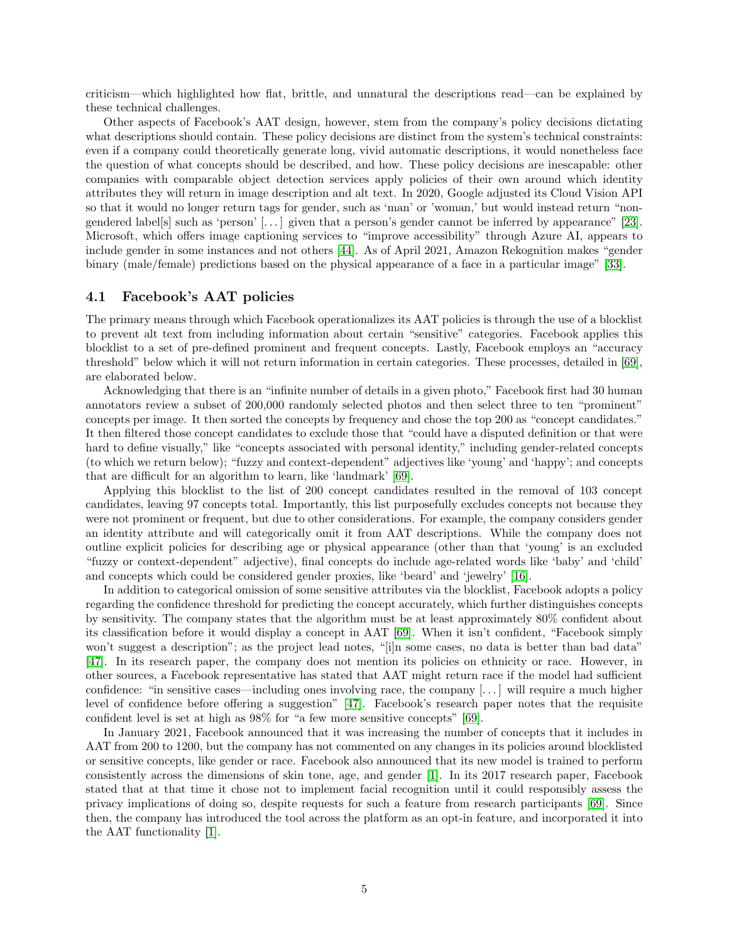criticism—which highlighted how flat, brittle, and unnatural the descriptions read—can be explained by these technical challenges.

Other aspects of Facebook's AAT design, however, stem from the company's policy decisions dictating what descriptions should contain. These policy decisions are distinct from the system's technical constraints: even if a company could theoretically generate long, vivid automatic descriptions, it would nonetheless face the question of what concepts should be described, and how. These policy decisions are inescapable: other companies with comparable object detection services apply policies of their own around which identity attributes they will return in image description and alt text. In 2020, Google adjusted its Cloud Vision API so that it would no longer return tags for gender, such as 'man' or 'woman,' but would instead return "nongendered label|s| such as 'person'  $[\dots]$  given that a person's gender cannot be inferred by appearance" [\[23\]](#page-16-17). Microsoft, which offers image captioning services to "improve accessibility" through Azure AI, appears to include gender in some instances and not others [\[44\]](#page-17-7). As of April 2021, Amazon Rekognition makes "gender binary (male/female) predictions based on the physical appearance of a face in a particular image" [\[33\]](#page-16-9).

### 4.1 Facebook's AAT policies

The primary means through which Facebook operationalizes its AAT policies is through the use of a blocklist to prevent alt text from including information about certain "sensitive" categories. Facebook applies this blocklist to a set of pre-defined prominent and frequent concepts. Lastly, Facebook employs an "accuracy threshold" below which it will not return information in certain categories. These processes, detailed in [\[69\]](#page-18-0), are elaborated below.

Acknowledging that there is an "infinite number of details in a given photo," Facebook first had 30 human annotators review a subset of 200,000 randomly selected photos and then select three to ten "prominent" concepts per image. It then sorted the concepts by frequency and chose the top 200 as "concept candidates." It then filtered those concept candidates to exclude those that "could have a disputed definition or that were hard to define visually," like "concepts associated with personal identity," including gender-related concepts (to which we return below); "fuzzy and context-dependent" adjectives like 'young' and 'happy'; and concepts that are difficult for an algorithm to learn, like 'landmark' [\[69\]](#page-18-0).

Applying this blocklist to the list of 200 concept candidates resulted in the removal of 103 concept candidates, leaving 97 concepts total. Importantly, this list purposefully excludes concepts not because they were not prominent or frequent, but due to other considerations. For example, the company considers gender an identity attribute and will categorically omit it from AAT descriptions. While the company does not outline explicit policies for describing age or physical appearance (other than that 'young' is an excluded "fuzzy or context-dependent" adjective), final concepts do include age-related words like 'baby' and 'child' and concepts which could be considered gender proxies, like 'beard' and 'jewelry' [\[16\]](#page-15-10).

In addition to categorical omission of some sensitive attributes via the blocklist, Facebook adopts a policy regarding the confidence threshold for predicting the concept accurately, which further distinguishes concepts by sensitivity. The company states that the algorithm must be at least approximately 80% confident about its classification before it would display a concept in AAT [\[69\]](#page-18-0). When it isn't confident, "Facebook simply won't suggest a description"; as the project lead notes, "[i]n some cases, no data is better than bad data" [\[47\]](#page-17-12). In its research paper, the company does not mention its policies on ethnicity or race. However, in other sources, a Facebook representative has stated that AAT might return race if the model had sufficient confidence: "in sensitive cases—including ones involving race, the company [. . . ] will require a much higher level of confidence before offering a suggestion" [\[47\]](#page-17-12). Facebook's research paper notes that the requisite confident level is set at high as 98% for "a few more sensitive concepts" [\[69\]](#page-18-0).

In January 2021, Facebook announced that it was increasing the number of concepts that it includes in AAT from 200 to 1200, but the company has not commented on any changes in its policies around blocklisted or sensitive concepts, like gender or race. Facebook also announced that its new model is trained to perform consistently across the dimensions of skin tone, age, and gender [\[1\]](#page-14-2). In its 2017 research paper, Facebook stated that at that time it chose not to implement facial recognition until it could responsibly assess the privacy implications of doing so, despite requests for such a feature from research participants [\[69\]](#page-18-0). Since then, the company has introduced the tool across the platform as an opt-in feature, and incorporated it into the AAT functionality [\[1\]](#page-14-2).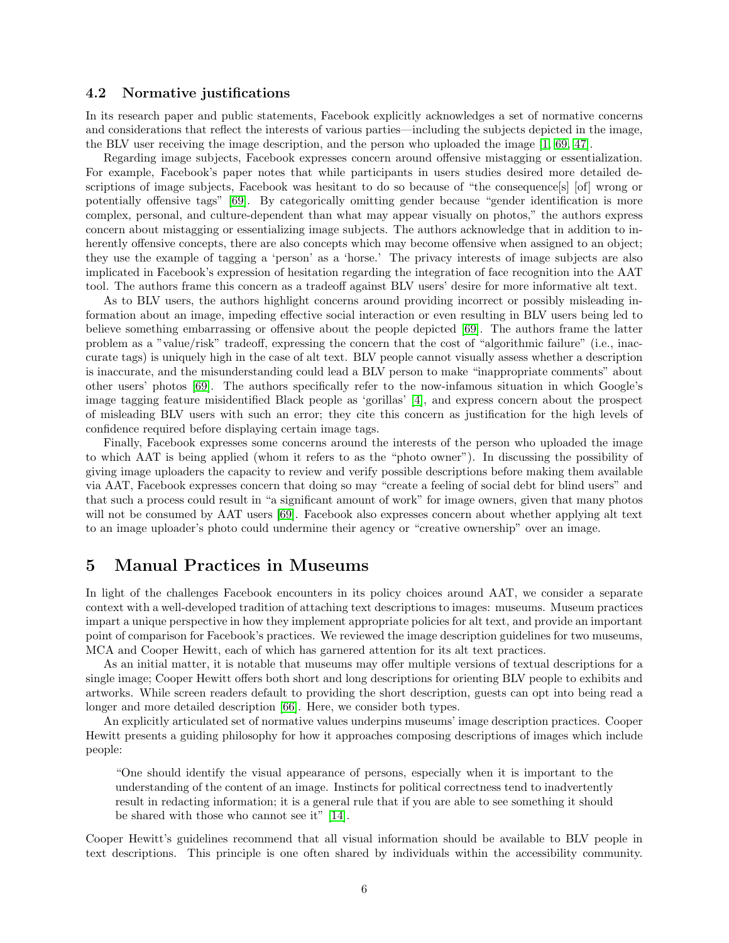#### 4.2 Normative justifications

In its research paper and public statements, Facebook explicitly acknowledges a set of normative concerns and considerations that reflect the interests of various parties—including the subjects depicted in the image, the BLV user receiving the image description, and the person who uploaded the image [\[1,](#page-14-2) [69,](#page-18-0) [47\]](#page-17-12).

Regarding image subjects, Facebook expresses concern around offensive mistagging or essentialization. For example, Facebook's paper notes that while participants in users studies desired more detailed descriptions of image subjects, Facebook was hesitant to do so because of "the consequence[s] [of] wrong or potentially offensive tags" [\[69\]](#page-18-0). By categorically omitting gender because "gender identification is more complex, personal, and culture-dependent than what may appear visually on photos," the authors express concern about mistagging or essentializing image subjects. The authors acknowledge that in addition to inherently offensive concepts, there are also concepts which may become offensive when assigned to an object; they use the example of tagging a 'person' as a 'horse.' The privacy interests of image subjects are also implicated in Facebook's expression of hesitation regarding the integration of face recognition into the AAT tool. The authors frame this concern as a tradeoff against BLV users' desire for more informative alt text.

As to BLV users, the authors highlight concerns around providing incorrect or possibly misleading information about an image, impeding effective social interaction or even resulting in BLV users being led to believe something embarrassing or offensive about the people depicted [\[69\]](#page-18-0). The authors frame the latter problem as a "value/risk" tradeoff, expressing the concern that the cost of "algorithmic failure" (i.e., inaccurate tags) is uniquely high in the case of alt text. BLV people cannot visually assess whether a description is inaccurate, and the misunderstanding could lead a BLV person to make "inappropriate comments" about other users' photos [\[69\]](#page-18-0). The authors specifically refer to the now-infamous situation in which Google's image tagging feature misidentified Black people as 'gorillas' [\[4\]](#page-14-3), and express concern about the prospect of misleading BLV users with such an error; they cite this concern as justification for the high levels of confidence required before displaying certain image tags.

Finally, Facebook expresses some concerns around the interests of the person who uploaded the image to which AAT is being applied (whom it refers to as the "photo owner"). In discussing the possibility of giving image uploaders the capacity to review and verify possible descriptions before making them available via AAT, Facebook expresses concern that doing so may "create a feeling of social debt for blind users" and that such a process could result in "a significant amount of work" for image owners, given that many photos will not be consumed by AAT users [\[69\]](#page-18-0). Facebook also expresses concern about whether applying alt text to an image uploader's photo could undermine their agency or "creative ownership" over an image.

### 5 Manual Practices in Museums

In light of the challenges Facebook encounters in its policy choices around AAT, we consider a separate context with a well-developed tradition of attaching text descriptions to images: museums. Museum practices impart a unique perspective in how they implement appropriate policies for alt text, and provide an important point of comparison for Facebook's practices. We reviewed the image description guidelines for two museums, MCA and Cooper Hewitt, each of which has garnered attention for its alt text practices.

As an initial matter, it is notable that museums may offer multiple versions of textual descriptions for a single image; Cooper Hewitt offers both short and long descriptions for orienting BLV people to exhibits and artworks. While screen readers default to providing the short description, guests can opt into being read a longer and more detailed description [\[66\]](#page-18-9). Here, we consider both types.

An explicitly articulated set of normative values underpins museums' image description practices. Cooper Hewitt presents a guiding philosophy for how it approaches composing descriptions of images which include people:

"One should identify the visual appearance of persons, especially when it is important to the understanding of the content of an image. Instincts for political correctness tend to inadvertently result in redacting information; it is a general rule that if you are able to see something it should be shared with those who cannot see it" [\[14\]](#page-15-13).

Cooper Hewitt's guidelines recommend that all visual information should be available to BLV people in text descriptions. This principle is one often shared by individuals within the accessibility community.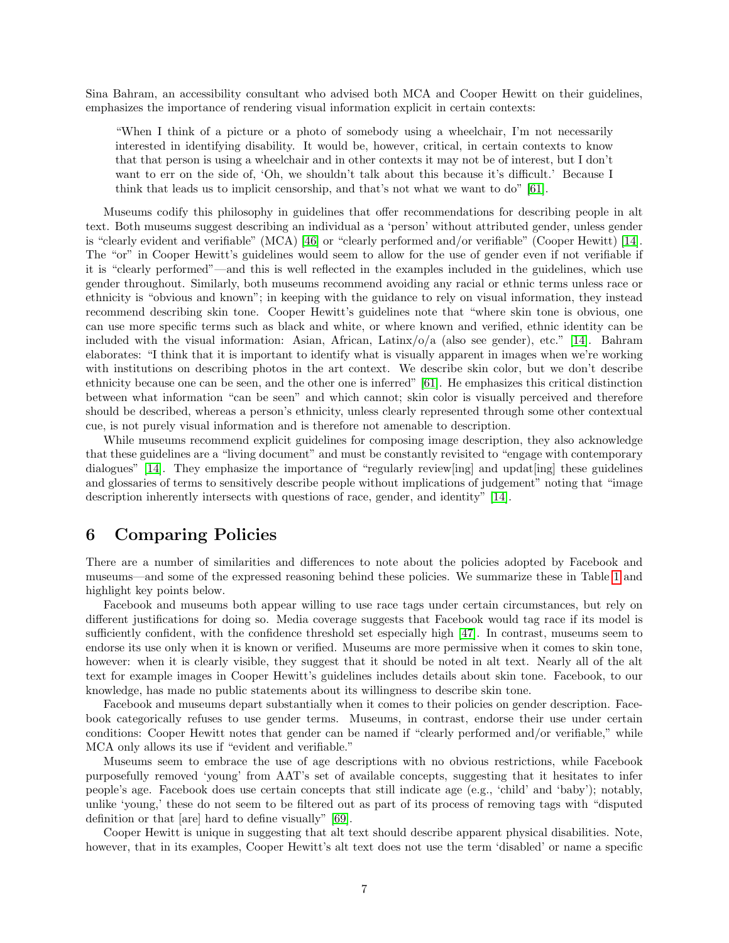Sina Bahram, an accessibility consultant who advised both MCA and Cooper Hewitt on their guidelines, emphasizes the importance of rendering visual information explicit in certain contexts:

"When I think of a picture or a photo of somebody using a wheelchair, I'm not necessarily interested in identifying disability. It would be, however, critical, in certain contexts to know that that person is using a wheelchair and in other contexts it may not be of interest, but I don't want to err on the side of, 'Oh, we shouldn't talk about this because it's difficult.' Because I think that leads us to implicit censorship, and that's not what we want to do" [\[61\]](#page-17-16).

Museums codify this philosophy in guidelines that offer recommendations for describing people in alt text. Both museums suggest describing an individual as a 'person' without attributed gender, unless gender is "clearly evident and verifiable" (MCA) [\[46\]](#page-17-17) or "clearly performed and/or verifiable" (Cooper Hewitt) [\[14\]](#page-15-13). The "or" in Cooper Hewitt's guidelines would seem to allow for the use of gender even if not verifiable if it is "clearly performed"—and this is well reflected in the examples included in the guidelines, which use gender throughout. Similarly, both museums recommend avoiding any racial or ethnic terms unless race or ethnicity is "obvious and known"; in keeping with the guidance to rely on visual information, they instead recommend describing skin tone. Cooper Hewitt's guidelines note that "where skin tone is obvious, one can use more specific terms such as black and white, or where known and verified, ethnic identity can be included with the visual information: Asian, African, Latinx/o/a (also see gender), etc." [\[14\]](#page-15-13). Bahram elaborates: "I think that it is important to identify what is visually apparent in images when we're working with institutions on describing photos in the art context. We describe skin color, but we don't describe ethnicity because one can be seen, and the other one is inferred" [\[61\]](#page-17-16). He emphasizes this critical distinction between what information "can be seen" and which cannot; skin color is visually perceived and therefore should be described, whereas a person's ethnicity, unless clearly represented through some other contextual cue, is not purely visual information and is therefore not amenable to description.

While museums recommend explicit guidelines for composing image description, they also acknowledge that these guidelines are a "living document" and must be constantly revisited to "engage with contemporary dialogues" [\[14\]](#page-15-13). They emphasize the importance of "regularly review[ing] and updat[ing] these guidelines and glossaries of terms to sensitively describe people without implications of judgement" noting that "image description inherently intersects with questions of race, gender, and identity" [\[14\]](#page-15-13).

### 6 Comparing Policies

There are a number of similarities and differences to note about the policies adopted by Facebook and museums—and some of the expressed reasoning behind these policies. We summarize these in Table [1](#page-9-0) and highlight key points below.

Facebook and museums both appear willing to use race tags under certain circumstances, but rely on different justifications for doing so. Media coverage suggests that Facebook would tag race if its model is sufficiently confident, with the confidence threshold set especially high [\[47\]](#page-17-12). In contrast, museums seem to endorse its use only when it is known or verified. Museums are more permissive when it comes to skin tone, however: when it is clearly visible, they suggest that it should be noted in alt text. Nearly all of the alt text for example images in Cooper Hewitt's guidelines includes details about skin tone. Facebook, to our knowledge, has made no public statements about its willingness to describe skin tone.

Facebook and museums depart substantially when it comes to their policies on gender description. Facebook categorically refuses to use gender terms. Museums, in contrast, endorse their use under certain conditions: Cooper Hewitt notes that gender can be named if "clearly performed and/or verifiable," while MCA only allows its use if "evident and verifiable."

Museums seem to embrace the use of age descriptions with no obvious restrictions, while Facebook purposefully removed 'young' from AAT's set of available concepts, suggesting that it hesitates to infer people's age. Facebook does use certain concepts that still indicate age (e.g., 'child' and 'baby'); notably, unlike 'young,' these do not seem to be filtered out as part of its process of removing tags with "disputed definition or that [are] hard to define visually" [\[69\]](#page-18-0).

Cooper Hewitt is unique in suggesting that alt text should describe apparent physical disabilities. Note, however, that in its examples, Cooper Hewitt's alt text does not use the term 'disabled' or name a specific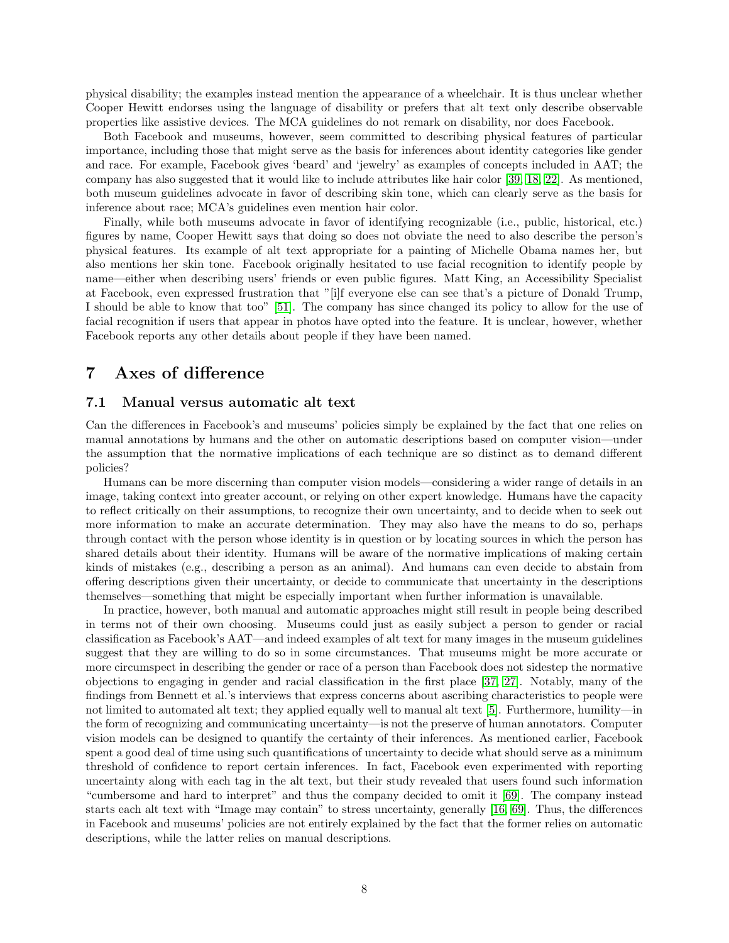physical disability; the examples instead mention the appearance of a wheelchair. It is thus unclear whether Cooper Hewitt endorses using the language of disability or prefers that alt text only describe observable properties like assistive devices. The MCA guidelines do not remark on disability, nor does Facebook.

Both Facebook and museums, however, seem committed to describing physical features of particular importance, including those that might serve as the basis for inferences about identity categories like gender and race. For example, Facebook gives 'beard' and 'jewelry' as examples of concepts included in AAT; the company has also suggested that it would like to include attributes like hair color [\[39,](#page-16-16) [18,](#page-15-11) [22\]](#page-15-14). As mentioned, both museum guidelines advocate in favor of describing skin tone, which can clearly serve as the basis for inference about race; MCA's guidelines even mention hair color.

Finally, while both museums advocate in favor of identifying recognizable (i.e., public, historical, etc.) figures by name, Cooper Hewitt says that doing so does not obviate the need to also describe the person's physical features. Its example of alt text appropriate for a painting of Michelle Obama names her, but also mentions her skin tone. Facebook originally hesitated to use facial recognition to identify people by name—either when describing users' friends or even public figures. Matt King, an Accessibility Specialist at Facebook, even expressed frustration that "[i]f everyone else can see that's a picture of Donald Trump, I should be able to know that too" [\[51\]](#page-17-13). The company has since changed its policy to allow for the use of facial recognition if users that appear in photos have opted into the feature. It is unclear, however, whether Facebook reports any other details about people if they have been named.

# 7 Axes of difference

### 7.1 Manual versus automatic alt text

Can the differences in Facebook's and museums' policies simply be explained by the fact that one relies on manual annotations by humans and the other on automatic descriptions based on computer vision—under the assumption that the normative implications of each technique are so distinct as to demand different policies?

Humans can be more discerning than computer vision models—considering a wider range of details in an image, taking context into greater account, or relying on other expert knowledge. Humans have the capacity to reflect critically on their assumptions, to recognize their own uncertainty, and to decide when to seek out more information to make an accurate determination. They may also have the means to do so, perhaps through contact with the person whose identity is in question or by locating sources in which the person has shared details about their identity. Humans will be aware of the normative implications of making certain kinds of mistakes (e.g., describing a person as an animal). And humans can even decide to abstain from offering descriptions given their uncertainty, or decide to communicate that uncertainty in the descriptions themselves—something that might be especially important when further information is unavailable.

In practice, however, both manual and automatic approaches might still result in people being described in terms not of their own choosing. Museums could just as easily subject a person to gender or racial classification as Facebook's AAT—and indeed examples of alt text for many images in the museum guidelines suggest that they are willing to do so in some circumstances. That museums might be more accurate or more circumspect in describing the gender or race of a person than Facebook does not sidestep the normative objections to engaging in gender and racial classification in the first place [\[37,](#page-16-1) [27\]](#page-16-13). Notably, many of the findings from Bennett et al.'s interviews that express concerns about ascribing characteristics to people were not limited to automated alt text; they applied equally well to manual alt text [\[5\]](#page-15-5). Furthermore, humility—in the form of recognizing and communicating uncertainty—is not the preserve of human annotators. Computer vision models can be designed to quantify the certainty of their inferences. As mentioned earlier, Facebook spent a good deal of time using such quantifications of uncertainty to decide what should serve as a minimum threshold of confidence to report certain inferences. In fact, Facebook even experimented with reporting uncertainty along with each tag in the alt text, but their study revealed that users found such information "cumbersome and hard to interpret" and thus the company decided to omit it [\[69\]](#page-18-0). The company instead starts each alt text with "Image may contain" to stress uncertainty, generally [\[16,](#page-15-10) [69\]](#page-18-0). Thus, the differences in Facebook and museums' policies are not entirely explained by the fact that the former relies on automatic descriptions, while the latter relies on manual descriptions.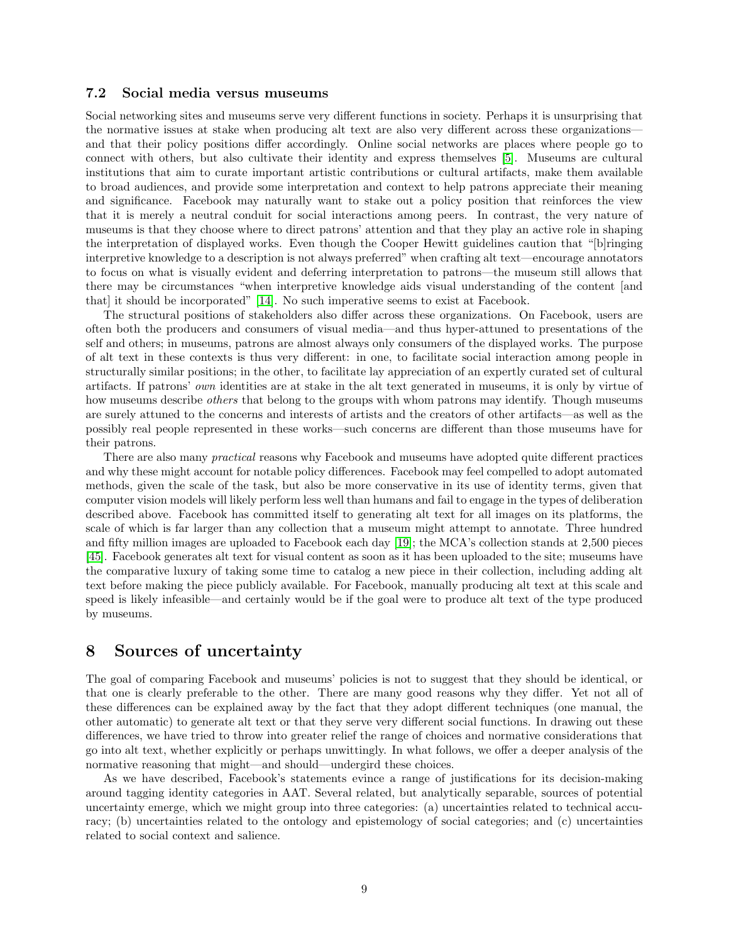### 7.2 Social media versus museums

Social networking sites and museums serve very different functions in society. Perhaps it is unsurprising that the normative issues at stake when producing alt text are also very different across these organizations and that their policy positions differ accordingly. Online social networks are places where people go to connect with others, but also cultivate their identity and express themselves [\[5\]](#page-15-5). Museums are cultural institutions that aim to curate important artistic contributions or cultural artifacts, make them available to broad audiences, and provide some interpretation and context to help patrons appreciate their meaning and significance. Facebook may naturally want to stake out a policy position that reinforces the view that it is merely a neutral conduit for social interactions among peers. In contrast, the very nature of museums is that they choose where to direct patrons' attention and that they play an active role in shaping the interpretation of displayed works. Even though the Cooper Hewitt guidelines caution that "[b]ringing interpretive knowledge to a description is not always preferred" when crafting alt text—encourage annotators to focus on what is visually evident and deferring interpretation to patrons—the museum still allows that there may be circumstances "when interpretive knowledge aids visual understanding of the content [and that] it should be incorporated" [\[14\]](#page-15-13). No such imperative seems to exist at Facebook.

The structural positions of stakeholders also differ across these organizations. On Facebook, users are often both the producers and consumers of visual media—and thus hyper-attuned to presentations of the self and others; in museums, patrons are almost always only consumers of the displayed works. The purpose of alt text in these contexts is thus very different: in one, to facilitate social interaction among people in structurally similar positions; in the other, to facilitate lay appreciation of an expertly curated set of cultural artifacts. If patrons' own identities are at stake in the alt text generated in museums, it is only by virtue of how museums describe *others* that belong to the groups with whom patrons may identify. Though museums are surely attuned to the concerns and interests of artists and the creators of other artifacts—as well as the possibly real people represented in these works—such concerns are different than those museums have for their patrons.

There are also many practical reasons why Facebook and museums have adopted quite different practices and why these might account for notable policy differences. Facebook may feel compelled to adopt automated methods, given the scale of the task, but also be more conservative in its use of identity terms, given that computer vision models will likely perform less well than humans and fail to engage in the types of deliberation described above. Facebook has committed itself to generating alt text for all images on its platforms, the scale of which is far larger than any collection that a museum might attempt to annotate. Three hundred and fifty million images are uploaded to Facebook each day [\[19\]](#page-15-15); the MCA's collection stands at 2,500 pieces [\[45\]](#page-17-18). Facebook generates alt text for visual content as soon as it has been uploaded to the site; museums have the comparative luxury of taking some time to catalog a new piece in their collection, including adding alt text before making the piece publicly available. For Facebook, manually producing alt text at this scale and speed is likely infeasible—and certainly would be if the goal were to produce alt text of the type produced by museums.

### 8 Sources of uncertainty

The goal of comparing Facebook and museums' policies is not to suggest that they should be identical, or that one is clearly preferable to the other. There are many good reasons why they differ. Yet not all of these differences can be explained away by the fact that they adopt different techniques (one manual, the other automatic) to generate alt text or that they serve very different social functions. In drawing out these differences, we have tried to throw into greater relief the range of choices and normative considerations that go into alt text, whether explicitly or perhaps unwittingly. In what follows, we offer a deeper analysis of the normative reasoning that might—and should—undergird these choices.

As we have described, Facebook's statements evince a range of justifications for its decision-making around tagging identity categories in AAT. Several related, but analytically separable, sources of potential uncertainty emerge, which we might group into three categories: (a) uncertainties related to technical accuracy; (b) uncertainties related to the ontology and epistemology of social categories; and (c) uncertainties related to social context and salience.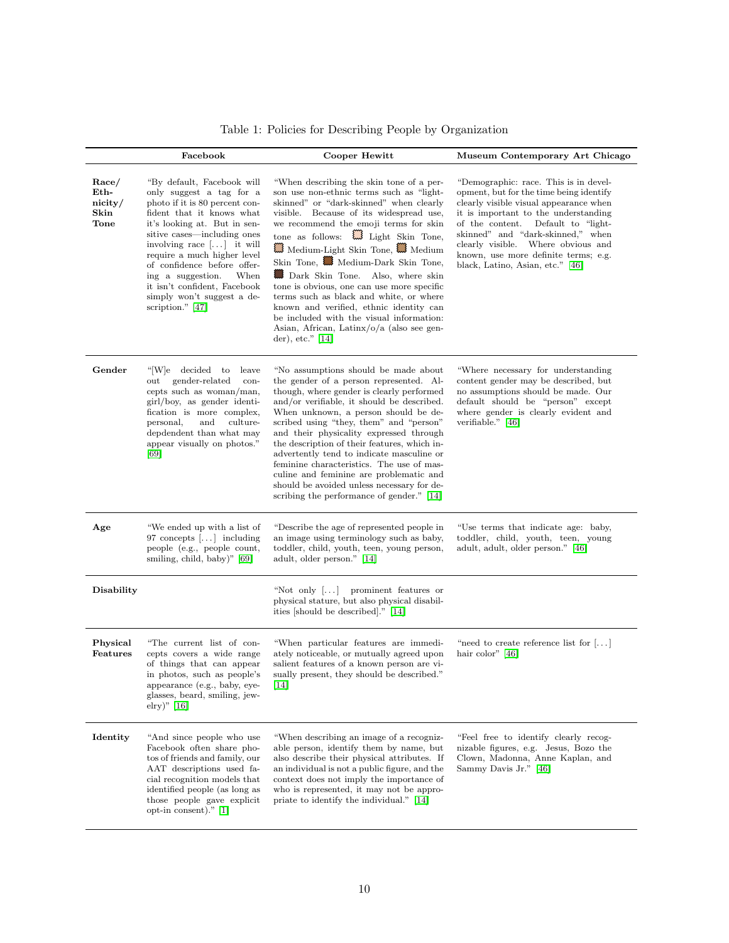|                                                 | Facebook                                                                                                                                                                                                                                                                                                                                                                                                | Cooper Hewitt                                                                                                                                                                                                                                                                                                                                                                                                                                                                                                                                                                                                                                  | Museum Contemporary Art Chicago                                                                                                                                                                                                                                                                                                                                       |
|-------------------------------------------------|---------------------------------------------------------------------------------------------------------------------------------------------------------------------------------------------------------------------------------------------------------------------------------------------------------------------------------------------------------------------------------------------------------|------------------------------------------------------------------------------------------------------------------------------------------------------------------------------------------------------------------------------------------------------------------------------------------------------------------------------------------------------------------------------------------------------------------------------------------------------------------------------------------------------------------------------------------------------------------------------------------------------------------------------------------------|-----------------------------------------------------------------------------------------------------------------------------------------------------------------------------------------------------------------------------------------------------------------------------------------------------------------------------------------------------------------------|
| Race/<br>Eth-<br>nicity/<br>Skin<br><b>Tone</b> | "By default, Facebook will<br>only suggest a tag for a<br>photo if it is 80 percent con-<br>fident that it knows what<br>it's looking at. But in sen-<br>sitive cases—including ones<br>involving race $[\dots]$ it will<br>require a much higher level<br>of confidence before offer-<br>When<br>ing a suggestion.<br>it isn't confident, Facebook<br>simply won't suggest a de-<br>scription." $[47]$ | "When describing the skin tone of a per-<br>son use non-ethnic terms such as "light-<br>skinned" or "dark-skinned" when clearly<br>visible. Because of its widespread use,<br>we recommend the emoji terms for skin<br>tone as follows: $\qquad \qquad \Box$ Light Skin Tone,<br>Medium-Light Skin Tone, Medium<br>Skin Tone, Medium-Dark Skin Tone,<br>Dark Skin Tone. Also, where skin<br>tone is obvious, one can use more specific<br>terms such as black and white, or where<br>known and verified, ethnic identity can<br>be included with the visual information:<br>Asian, African, Latin $x/o/a$ (also see gen-<br>der), etc." $ 14 $ | "Demographic: race. This is in devel-<br>opment, but for the time being identify<br>clearly visible visual appearance when<br>it is important to the understanding<br>of the content.<br>Default to "light-<br>skinned" and "dark-skinned," when<br>clearly visible.<br>Where obvious and<br>known, use more definite terms; e.g.<br>black, Latino, Asian, etc." [46] |
| Gender                                          | "[W]e decided to<br>leave<br>gender-related<br>out<br>con-<br>cepts such as woman/man,<br>girl/boy, as gender identi-<br>fication is more complex,<br>personal,<br>and<br>culture-<br>depdendent than what may<br>appear visually on photos."<br>[69]                                                                                                                                                   | "No assumptions should be made about<br>the gender of a person represented. Al-<br>though, where gender is clearly performed<br>and/or verifiable, it should be described.<br>When unknown, a person should be de-<br>scribed using "they, them" and "person"<br>and their physicality expressed through<br>the description of their features, which in-<br>advertently tend to indicate masculine or<br>feminine characteristics. The use of mas-<br>culine and feminine are problematic and<br>should be avoided unless necessary for de-<br>scribing the performance of gender." [14]                                                       | "Where necessary for understanding<br>content gender may be described, but<br>no assumptions should be made. Our<br>default should be "person" except<br>where gender is clearly evident and<br>verifiable." $[46]$                                                                                                                                                   |
| Age                                             | "We ended up with a list of<br>97 concepts $[]$ including<br>people (e.g., people count,<br>smiling, child, baby)" [69]                                                                                                                                                                                                                                                                                 | "Describe the age of represented people in<br>an image using terminology such as baby,<br>toddler, child, youth, teen, young person,<br>adult, older person." [14]                                                                                                                                                                                                                                                                                                                                                                                                                                                                             | "Use terms that indicate age: baby,<br>toddler, child, youth, teen, young<br>adult, adult, older person." [46]                                                                                                                                                                                                                                                        |
| Disability                                      |                                                                                                                                                                                                                                                                                                                                                                                                         | "Not only $[\ldots]$ prominent features or<br>physical stature, but also physical disabil-<br>ities [should be described]." [14]                                                                                                                                                                                                                                                                                                                                                                                                                                                                                                               |                                                                                                                                                                                                                                                                                                                                                                       |
| Physical<br>Features                            | "The current list of con-<br>cepts covers a wide range<br>of things that can appear<br>in photos, such as people's<br>appearance (e.g., baby, eye-<br>glasses, beard, smiling, jew-<br>elry)" $[16]$                                                                                                                                                                                                    | "When particular features are immedi-<br>ately noticeable, or mutually agreed upon<br>salient features of a known person are vi-<br>sually present, they should be described."<br> 14                                                                                                                                                                                                                                                                                                                                                                                                                                                          | "need to create reference list for $[\dots]$<br>hair color" $ 46 $                                                                                                                                                                                                                                                                                                    |
| Identity                                        | "And since people who use<br>Facebook often share pho-<br>tos of friends and family, our<br>AAT descriptions used fa-<br>cial recognition models that<br>identified people (as long as<br>those people gave explicit<br>opt-in consent)." $[1]$                                                                                                                                                         | "When describing an image of a recogniz-<br>able person, identify them by name, but<br>also describe their physical attributes. If<br>an individual is not a public figure, and the<br>context does not imply the importance of<br>who is represented, it may not be appro-<br>priate to identify the individual." [14]                                                                                                                                                                                                                                                                                                                        | "Feel free to identify clearly recog-<br>nizable figures, e.g. Jesus, Bozo the<br>Clown, Madonna, Anne Kaplan, and<br>Sammy Davis Jr." [46]                                                                                                                                                                                                                           |

<span id="page-9-0"></span>Table 1: Policies for Describing People by Organization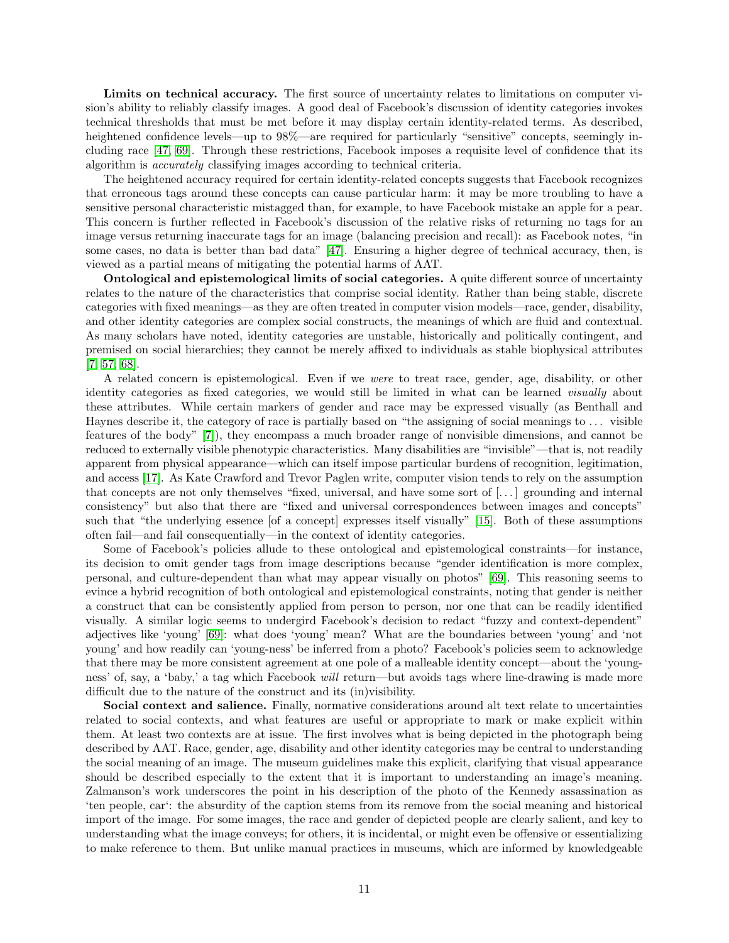Limits on technical accuracy. The first source of uncertainty relates to limitations on computer vision's ability to reliably classify images. A good deal of Facebook's discussion of identity categories invokes technical thresholds that must be met before it may display certain identity-related terms. As described, heightened confidence levels—up to 98%—are required for particularly "sensitive" concepts, seemingly including race [\[47,](#page-17-12) [69\]](#page-18-0). Through these restrictions, Facebook imposes a requisite level of confidence that its algorithm is accurately classifying images according to technical criteria.

The heightened accuracy required for certain identity-related concepts suggests that Facebook recognizes that erroneous tags around these concepts can cause particular harm: it may be more troubling to have a sensitive personal characteristic mistagged than, for example, to have Facebook mistake an apple for a pear. This concern is further reflected in Facebook's discussion of the relative risks of returning no tags for an image versus returning inaccurate tags for an image (balancing precision and recall): as Facebook notes, "in some cases, no data is better than bad data" [\[47\]](#page-17-12). Ensuring a higher degree of technical accuracy, then, is viewed as a partial means of mitigating the potential harms of AAT.

Ontological and epistemological limits of social categories. A quite different source of uncertainty relates to the nature of the characteristics that comprise social identity. Rather than being stable, discrete categories with fixed meanings—as they are often treated in computer vision models—race, gender, disability, and other identity categories are complex social constructs, the meanings of which are fluid and contextual. As many scholars have noted, identity categories are unstable, historically and politically contingent, and premised on social hierarchies; they cannot be merely affixed to individuals as stable biophysical attributes [\[7,](#page-15-16) [57,](#page-17-19) [68\]](#page-18-10).

A related concern is epistemological. Even if we were to treat race, gender, age, disability, or other identity categories as fixed categories, we would still be limited in what can be learned visually about these attributes. While certain markers of gender and race may be expressed visually (as Benthall and Haynes describe it, the category of race is partially based on "the assigning of social meanings to . . . visible features of the body" [\[7\]](#page-15-16)), they encompass a much broader range of nonvisible dimensions, and cannot be reduced to externally visible phenotypic characteristics. Many disabilities are "invisible"—that is, not readily apparent from physical appearance—which can itself impose particular burdens of recognition, legitimation, and access [\[17\]](#page-15-17). As Kate Crawford and Trevor Paglen write, computer vision tends to rely on the assumption that concepts are not only themselves "fixed, universal, and have some sort of [. . . ] grounding and internal consistency" but also that there are "fixed and universal correspondences between images and concepts" such that "the underlying essence [of a concept] expresses itself visually" [\[15\]](#page-15-2). Both of these assumptions often fail—and fail consequentially—in the context of identity categories.

Some of Facebook's policies allude to these ontological and epistemological constraints—for instance, its decision to omit gender tags from image descriptions because "gender identification is more complex, personal, and culture-dependent than what may appear visually on photos" [\[69\]](#page-18-0). This reasoning seems to evince a hybrid recognition of both ontological and epistemological constraints, noting that gender is neither a construct that can be consistently applied from person to person, nor one that can be readily identified visually. A similar logic seems to undergird Facebook's decision to redact "fuzzy and context-dependent" adjectives like 'young' [\[69\]](#page-18-0): what does 'young' mean? What are the boundaries between 'young' and 'not young' and how readily can 'young-ness' be inferred from a photo? Facebook's policies seem to acknowledge that there may be more consistent agreement at one pole of a malleable identity concept—about the 'youngness' of, say, a 'baby,' a tag which Facebook will return—but avoids tags where line-drawing is made more difficult due to the nature of the construct and its (in)visibility.

Social context and salience. Finally, normative considerations around alt text relate to uncertainties related to social contexts, and what features are useful or appropriate to mark or make explicit within them. At least two contexts are at issue. The first involves what is being depicted in the photograph being described by AAT. Race, gender, age, disability and other identity categories may be central to understanding the social meaning of an image. The museum guidelines make this explicit, clarifying that visual appearance should be described especially to the extent that it is important to understanding an image's meaning. Zalmanson's work underscores the point in his description of the photo of the Kennedy assassination as 'ten people, car': the absurdity of the caption stems from its remove from the social meaning and historical import of the image. For some images, the race and gender of depicted people are clearly salient, and key to understanding what the image conveys; for others, it is incidental, or might even be offensive or essentializing to make reference to them. But unlike manual practices in museums, which are informed by knowledgeable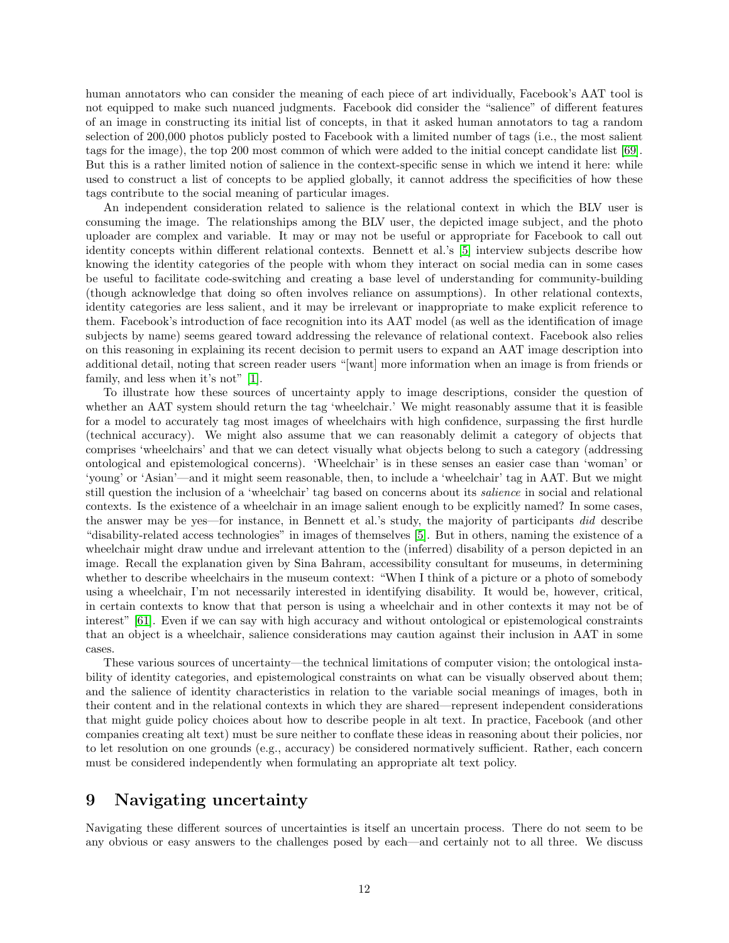human annotators who can consider the meaning of each piece of art individually, Facebook's AAT tool is not equipped to make such nuanced judgments. Facebook did consider the "salience" of different features of an image in constructing its initial list of concepts, in that it asked human annotators to tag a random selection of 200,000 photos publicly posted to Facebook with a limited number of tags (i.e., the most salient tags for the image), the top 200 most common of which were added to the initial concept candidate list [\[69\]](#page-18-0). But this is a rather limited notion of salience in the context-specific sense in which we intend it here: while used to construct a list of concepts to be applied globally, it cannot address the specificities of how these tags contribute to the social meaning of particular images.

An independent consideration related to salience is the relational context in which the BLV user is consuming the image. The relationships among the BLV user, the depicted image subject, and the photo uploader are complex and variable. It may or may not be useful or appropriate for Facebook to call out identity concepts within different relational contexts. Bennett et al.'s [\[5\]](#page-15-5) interview subjects describe how knowing the identity categories of the people with whom they interact on social media can in some cases be useful to facilitate code-switching and creating a base level of understanding for community-building (though acknowledge that doing so often involves reliance on assumptions). In other relational contexts, identity categories are less salient, and it may be irrelevant or inappropriate to make explicit reference to them. Facebook's introduction of face recognition into its AAT model (as well as the identification of image subjects by name) seems geared toward addressing the relevance of relational context. Facebook also relies on this reasoning in explaining its recent decision to permit users to expand an AAT image description into additional detail, noting that screen reader users "[want] more information when an image is from friends or family, and less when it's not" [\[1\]](#page-14-2).

To illustrate how these sources of uncertainty apply to image descriptions, consider the question of whether an AAT system should return the tag 'wheelchair.' We might reasonably assume that it is feasible for a model to accurately tag most images of wheelchairs with high confidence, surpassing the first hurdle (technical accuracy). We might also assume that we can reasonably delimit a category of objects that comprises 'wheelchairs' and that we can detect visually what objects belong to such a category (addressing ontological and epistemological concerns). 'Wheelchair' is in these senses an easier case than 'woman' or 'young' or 'Asian'—and it might seem reasonable, then, to include a 'wheelchair' tag in AAT. But we might still question the inclusion of a 'wheelchair' tag based on concerns about its salience in social and relational contexts. Is the existence of a wheelchair in an image salient enough to be explicitly named? In some cases, the answer may be yes—for instance, in Bennett et al.'s study, the majority of participants did describe "disability-related access technologies" in images of themselves [\[5\]](#page-15-5). But in others, naming the existence of a wheelchair might draw undue and irrelevant attention to the (inferred) disability of a person depicted in an image. Recall the explanation given by Sina Bahram, accessibility consultant for museums, in determining whether to describe wheelchairs in the museum context: "When I think of a picture or a photo of somebody using a wheelchair, I'm not necessarily interested in identifying disability. It would be, however, critical, in certain contexts to know that that person is using a wheelchair and in other contexts it may not be of interest" [\[61\]](#page-17-16). Even if we can say with high accuracy and without ontological or epistemological constraints that an object is a wheelchair, salience considerations may caution against their inclusion in AAT in some cases.

These various sources of uncertainty—the technical limitations of computer vision; the ontological instability of identity categories, and epistemological constraints on what can be visually observed about them; and the salience of identity characteristics in relation to the variable social meanings of images, both in their content and in the relational contexts in which they are shared—represent independent considerations that might guide policy choices about how to describe people in alt text. In practice, Facebook (and other companies creating alt text) must be sure neither to conflate these ideas in reasoning about their policies, nor to let resolution on one grounds (e.g., accuracy) be considered normatively sufficient. Rather, each concern must be considered independently when formulating an appropriate alt text policy.

### 9 Navigating uncertainty

Navigating these different sources of uncertainties is itself an uncertain process. There do not seem to be any obvious or easy answers to the challenges posed by each—and certainly not to all three. We discuss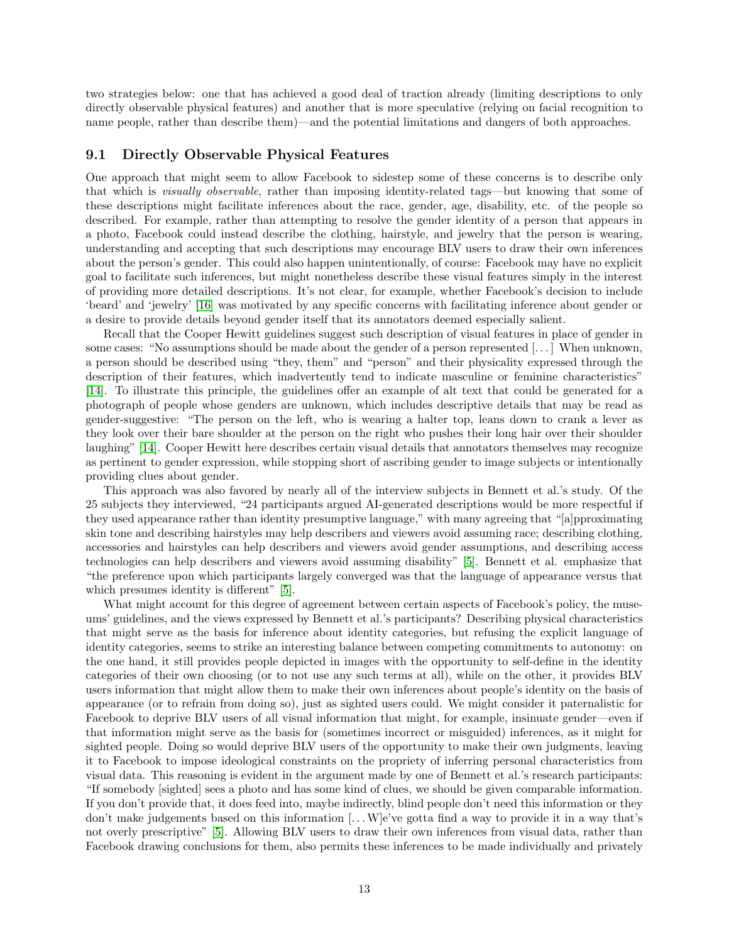two strategies below: one that has achieved a good deal of traction already (limiting descriptions to only directly observable physical features) and another that is more speculative (relying on facial recognition to name people, rather than describe them)—and the potential limitations and dangers of both approaches.

### 9.1 Directly Observable Physical Features

One approach that might seem to allow Facebook to sidestep some of these concerns is to describe only that which is visually observable, rather than imposing identity-related tags—but knowing that some of these descriptions might facilitate inferences about the race, gender, age, disability, etc. of the people so described. For example, rather than attempting to resolve the gender identity of a person that appears in a photo, Facebook could instead describe the clothing, hairstyle, and jewelry that the person is wearing, understanding and accepting that such descriptions may encourage BLV users to draw their own inferences about the person's gender. This could also happen unintentionally, of course: Facebook may have no explicit goal to facilitate such inferences, but might nonetheless describe these visual features simply in the interest of providing more detailed descriptions. It's not clear, for example, whether Facebook's decision to include 'beard' and 'jewelry' [\[16\]](#page-15-10) was motivated by any specific concerns with facilitating inference about gender or a desire to provide details beyond gender itself that its annotators deemed especially salient.

Recall that the Cooper Hewitt guidelines suggest such description of visual features in place of gender in some cases: "No assumptions should be made about the gender of a person represented [. . . ] When unknown, a person should be described using "they, them" and "person" and their physicality expressed through the description of their features, which inadvertently tend to indicate masculine or feminine characteristics" [\[14\]](#page-15-13). To illustrate this principle, the guidelines offer an example of alt text that could be generated for a photograph of people whose genders are unknown, which includes descriptive details that may be read as gender-suggestive: "The person on the left, who is wearing a halter top, leans down to crank a lever as they look over their bare shoulder at the person on the right who pushes their long hair over their shoulder laughing" [\[14\]](#page-15-13). Cooper Hewitt here describes certain visual details that annotators themselves may recognize as pertinent to gender expression, while stopping short of ascribing gender to image subjects or intentionally providing clues about gender.

This approach was also favored by nearly all of the interview subjects in Bennett et al.'s study. Of the 25 subjects they interviewed, "24 participants argued AI-generated descriptions would be more respectful if they used appearance rather than identity presumptive language," with many agreeing that "[a]pproximating skin tone and describing hairstyles may help describers and viewers avoid assuming race; describing clothing, accessories and hairstyles can help describers and viewers avoid gender assumptions, and describing access technologies can help describers and viewers avoid assuming disability" [\[5\]](#page-15-5). Bennett et al. emphasize that "the preference upon which participants largely converged was that the language of appearance versus that which presumes identity is different" [\[5\]](#page-15-5).

What might account for this degree of agreement between certain aspects of Facebook's policy, the museums' guidelines, and the views expressed by Bennett et al.'s participants? Describing physical characteristics that might serve as the basis for inference about identity categories, but refusing the explicit language of identity categories, seems to strike an interesting balance between competing commitments to autonomy: on the one hand, it still provides people depicted in images with the opportunity to self-define in the identity categories of their own choosing (or to not use any such terms at all), while on the other, it provides BLV users information that might allow them to make their own inferences about people's identity on the basis of appearance (or to refrain from doing so), just as sighted users could. We might consider it paternalistic for Facebook to deprive BLV users of all visual information that might, for example, insinuate gender—even if that information might serve as the basis for (sometimes incorrect or misguided) inferences, as it might for sighted people. Doing so would deprive BLV users of the opportunity to make their own judgments, leaving it to Facebook to impose ideological constraints on the propriety of inferring personal characteristics from visual data. This reasoning is evident in the argument made by one of Bennett et al.'s research participants: "If somebody [sighted] sees a photo and has some kind of clues, we should be given comparable information. If you don't provide that, it does feed into, maybe indirectly, blind people don't need this information or they don't make judgements based on this information [. . .W]e've gotta find a way to provide it in a way that's not overly prescriptive" [\[5\]](#page-15-5). Allowing BLV users to draw their own inferences from visual data, rather than Facebook drawing conclusions for them, also permits these inferences to be made individually and privately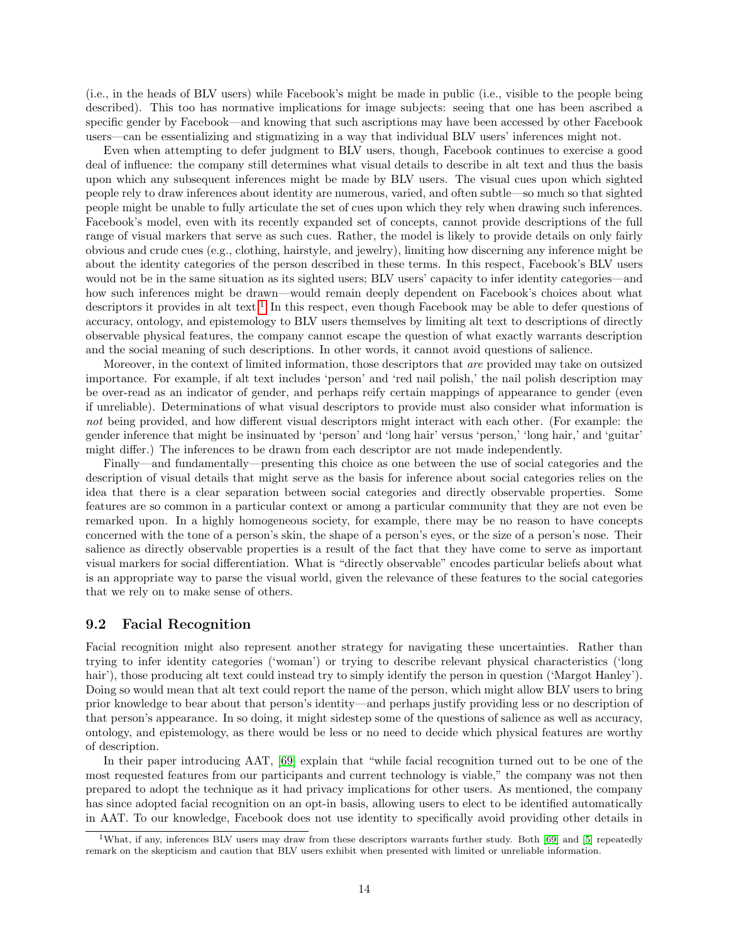(i.e., in the heads of BLV users) while Facebook's might be made in public (i.e., visible to the people being described). This too has normative implications for image subjects: seeing that one has been ascribed a specific gender by Facebook—and knowing that such ascriptions may have been accessed by other Facebook users—can be essentializing and stigmatizing in a way that individual BLV users' inferences might not.

Even when attempting to defer judgment to BLV users, though, Facebook continues to exercise a good deal of influence: the company still determines what visual details to describe in alt text and thus the basis upon which any subsequent inferences might be made by BLV users. The visual cues upon which sighted people rely to draw inferences about identity are numerous, varied, and often subtle—so much so that sighted people might be unable to fully articulate the set of cues upon which they rely when drawing such inferences. Facebook's model, even with its recently expanded set of concepts, cannot provide descriptions of the full range of visual markers that serve as such cues. Rather, the model is likely to provide details on only fairly obvious and crude cues (e.g., clothing, hairstyle, and jewelry), limiting how discerning any inference might be about the identity categories of the person described in these terms. In this respect, Facebook's BLV users would not be in the same situation as its sighted users; BLV users' capacity to infer identity categories—and how such inferences might be drawn—would remain deeply dependent on Facebook's choices about what descriptors it provides in alt text.<sup>[1](#page-13-0)</sup> In this respect, even though Facebook may be able to defer questions of accuracy, ontology, and epistemology to BLV users themselves by limiting alt text to descriptions of directly observable physical features, the company cannot escape the question of what exactly warrants description and the social meaning of such descriptions. In other words, it cannot avoid questions of salience.

Moreover, in the context of limited information, those descriptors that *are* provided may take on outsized importance. For example, if alt text includes 'person' and 'red nail polish,' the nail polish description may be over-read as an indicator of gender, and perhaps reify certain mappings of appearance to gender (even if unreliable). Determinations of what visual descriptors to provide must also consider what information is not being provided, and how different visual descriptors might interact with each other. (For example: the gender inference that might be insinuated by 'person' and 'long hair' versus 'person,' 'long hair,' and 'guitar' might differ.) The inferences to be drawn from each descriptor are not made independently.

Finally—and fundamentally—presenting this choice as one between the use of social categories and the description of visual details that might serve as the basis for inference about social categories relies on the idea that there is a clear separation between social categories and directly observable properties. Some features are so common in a particular context or among a particular community that they are not even be remarked upon. In a highly homogeneous society, for example, there may be no reason to have concepts concerned with the tone of a person's skin, the shape of a person's eyes, or the size of a person's nose. Their salience as directly observable properties is a result of the fact that they have come to serve as important visual markers for social differentiation. What is "directly observable" encodes particular beliefs about what is an appropriate way to parse the visual world, given the relevance of these features to the social categories that we rely on to make sense of others.

#### 9.2 Facial Recognition

Facial recognition might also represent another strategy for navigating these uncertainties. Rather than trying to infer identity categories ('woman') or trying to describe relevant physical characteristics ('long hair'), those producing alt text could instead try to simply identify the person in question ('Margot Hanley'). Doing so would mean that alt text could report the name of the person, which might allow BLV users to bring prior knowledge to bear about that person's identity—and perhaps justify providing less or no description of that person's appearance. In so doing, it might sidestep some of the questions of salience as well as accuracy, ontology, and epistemology, as there would be less or no need to decide which physical features are worthy of description.

In their paper introducing AAT, [\[69\]](#page-18-0) explain that "while facial recognition turned out to be one of the most requested features from our participants and current technology is viable," the company was not then prepared to adopt the technique as it had privacy implications for other users. As mentioned, the company has since adopted facial recognition on an opt-in basis, allowing users to elect to be identified automatically in AAT. To our knowledge, Facebook does not use identity to specifically avoid providing other details in

<span id="page-13-0"></span><sup>1</sup>What, if any, inferences BLV users may draw from these descriptors warrants further study. Both [\[69\]](#page-18-0) and [\[5\]](#page-15-5) repeatedly remark on the skepticism and caution that BLV users exhibit when presented with limited or unreliable information.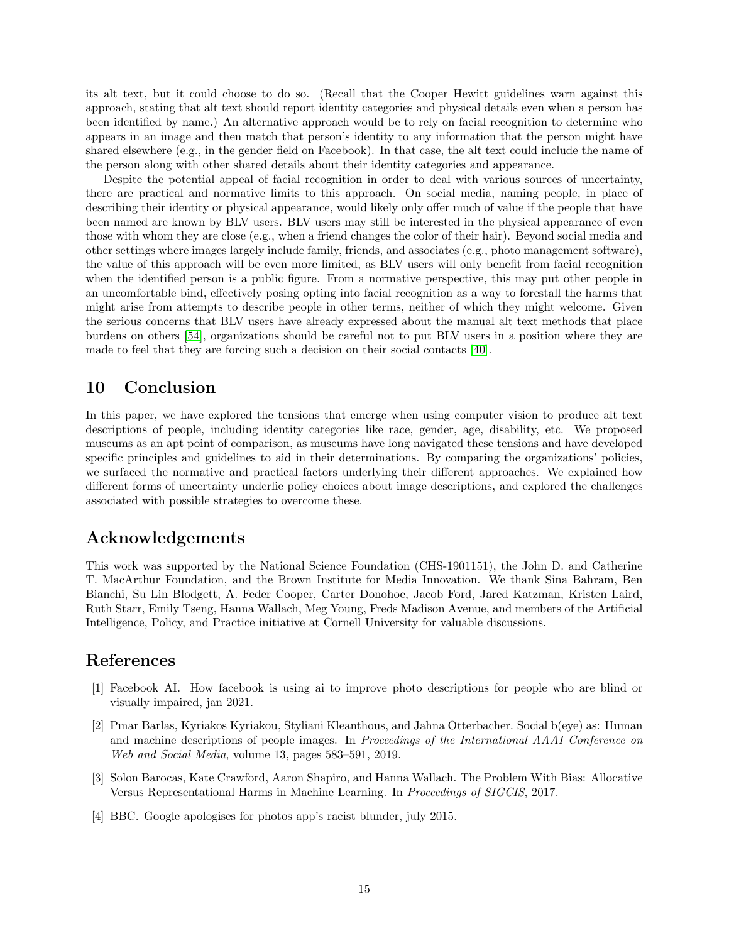its alt text, but it could choose to do so. (Recall that the Cooper Hewitt guidelines warn against this approach, stating that alt text should report identity categories and physical details even when a person has been identified by name.) An alternative approach would be to rely on facial recognition to determine who appears in an image and then match that person's identity to any information that the person might have shared elsewhere (e.g., in the gender field on Facebook). In that case, the alt text could include the name of the person along with other shared details about their identity categories and appearance.

Despite the potential appeal of facial recognition in order to deal with various sources of uncertainty, there are practical and normative limits to this approach. On social media, naming people, in place of describing their identity or physical appearance, would likely only offer much of value if the people that have been named are known by BLV users. BLV users may still be interested in the physical appearance of even those with whom they are close (e.g., when a friend changes the color of their hair). Beyond social media and other settings where images largely include family, friends, and associates (e.g., photo management software), the value of this approach will be even more limited, as BLV users will only benefit from facial recognition when the identified person is a public figure. From a normative perspective, this may put other people in an uncomfortable bind, effectively posing opting into facial recognition as a way to forestall the harms that might arise from attempts to describe people in other terms, neither of which they might welcome. Given the serious concerns that BLV users have already expressed about the manual alt text methods that place burdens on others [\[54\]](#page-17-5), organizations should be careful not to put BLV users in a position where they are made to feel that they are forcing such a decision on their social contacts [\[40\]](#page-16-18).

# 10 Conclusion

In this paper, we have explored the tensions that emerge when using computer vision to produce alt text descriptions of people, including identity categories like race, gender, age, disability, etc. We proposed museums as an apt point of comparison, as museums have long navigated these tensions and have developed specific principles and guidelines to aid in their determinations. By comparing the organizations' policies, we surfaced the normative and practical factors underlying their different approaches. We explained how different forms of uncertainty underlie policy choices about image descriptions, and explored the challenges associated with possible strategies to overcome these.

# Acknowledgements

This work was supported by the National Science Foundation (CHS-1901151), the John D. and Catherine T. MacArthur Foundation, and the Brown Institute for Media Innovation. We thank Sina Bahram, Ben Bianchi, Su Lin Blodgett, A. Feder Cooper, Carter Donohoe, Jacob Ford, Jared Katzman, Kristen Laird, Ruth Starr, Emily Tseng, Hanna Wallach, Meg Young, Freds Madison Avenue, and members of the Artificial Intelligence, Policy, and Practice initiative at Cornell University for valuable discussions.

# References

- <span id="page-14-2"></span>[1] Facebook AI. How facebook is using ai to improve photo descriptions for people who are blind or visually impaired, jan 2021.
- <span id="page-14-0"></span>[2] Pınar Barlas, Kyriakos Kyriakou, Styliani Kleanthous, and Jahna Otterbacher. Social b(eye) as: Human and machine descriptions of people images. In Proceedings of the International AAAI Conference on Web and Social Media, volume 13, pages 583–591, 2019.
- <span id="page-14-1"></span>[3] Solon Barocas, Kate Crawford, Aaron Shapiro, and Hanna Wallach. The Problem With Bias: Allocative Versus Representational Harms in Machine Learning. In Proceedings of SIGCIS, 2017.
- <span id="page-14-3"></span>[4] BBC. Google apologises for photos app's racist blunder, july 2015.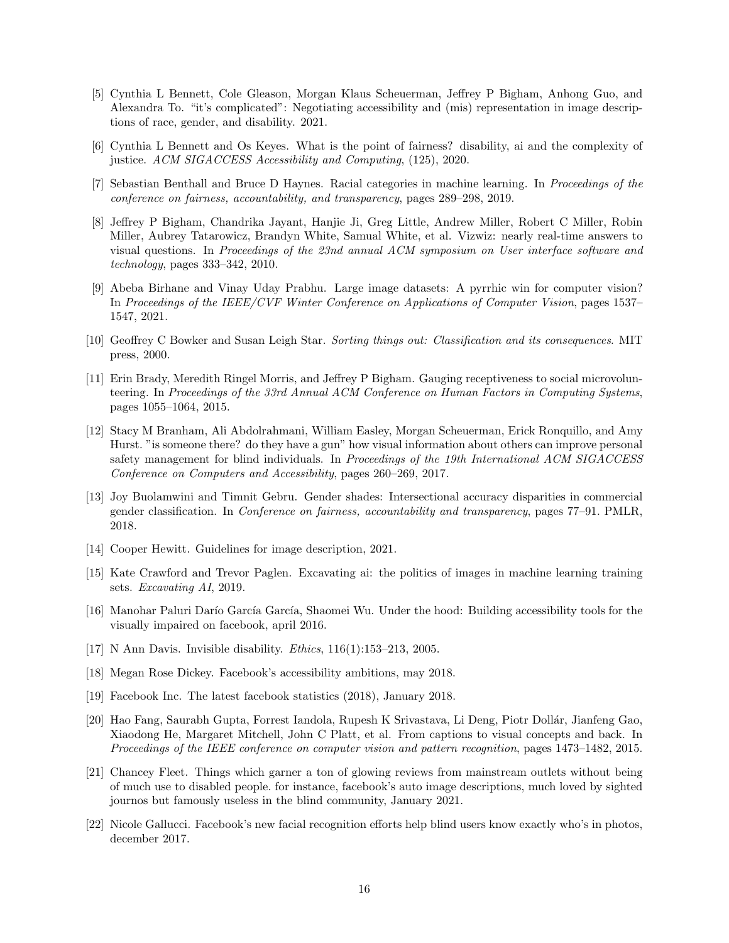- <span id="page-15-5"></span>[5] Cynthia L Bennett, Cole Gleason, Morgan Klaus Scheuerman, Jeffrey P Bigham, Anhong Guo, and Alexandra To. "it's complicated": Negotiating accessibility and (mis) representation in image descriptions of race, gender, and disability. 2021.
- <span id="page-15-4"></span>[6] Cynthia L Bennett and Os Keyes. What is the point of fairness? disability, ai and the complexity of justice. ACM SIGACCESS Accessibility and Computing, (125), 2020.
- <span id="page-15-16"></span>[7] Sebastian Benthall and Bruce D Haynes. Racial categories in machine learning. In Proceedings of the conference on fairness, accountability, and transparency, pages 289–298, 2019.
- <span id="page-15-7"></span>[8] Jeffrey P Bigham, Chandrika Jayant, Hanjie Ji, Greg Little, Andrew Miller, Robert C Miller, Robin Miller, Aubrey Tatarowicz, Brandyn White, Samual White, et al. Vizwiz: nearly real-time answers to visual questions. In Proceedings of the 23nd annual ACM symposium on User interface software and technology, pages 333–342, 2010.
- <span id="page-15-1"></span>[9] Abeba Birhane and Vinay Uday Prabhu. Large image datasets: A pyrrhic win for computer vision? In Proceedings of the IEEE/CVF Winter Conference on Applications of Computer Vision, pages 1537– 1547, 2021.
- <span id="page-15-0"></span>[10] Geoffrey C Bowker and Susan Leigh Star. Sorting things out: Classification and its consequences. MIT press, 2000.
- <span id="page-15-6"></span>[11] Erin Brady, Meredith Ringel Morris, and Jeffrey P Bigham. Gauging receptiveness to social microvolunteering. In Proceedings of the 33rd Annual ACM Conference on Human Factors in Computing Systems, pages 1055–1064, 2015.
- <span id="page-15-9"></span>[12] Stacy M Branham, Ali Abdolrahmani, William Easley, Morgan Scheuerman, Erick Ronquillo, and Amy Hurst. "is someone there? do they have a gun" how visual information about others can improve personal safety management for blind individuals. In Proceedings of the 19th International ACM SIGACCESS Conference on Computers and Accessibility, pages 260–269, 2017.
- <span id="page-15-3"></span>[13] Joy Buolamwini and Timnit Gebru. Gender shades: Intersectional accuracy disparities in commercial gender classification. In Conference on fairness, accountability and transparency, pages 77–91. PMLR, 2018.
- <span id="page-15-13"></span>[14] Cooper Hewitt. Guidelines for image description, 2021.
- <span id="page-15-2"></span>[15] Kate Crawford and Trevor Paglen. Excavating ai: the politics of images in machine learning training sets. Excavating AI, 2019.
- <span id="page-15-10"></span>[16] Manohar Paluri Darío García García, Shaomei Wu. Under the hood: Building accessibility tools for the visually impaired on facebook, april 2016.
- <span id="page-15-17"></span>[17] N Ann Davis. Invisible disability. *Ethics*, 116(1):153-213, 2005.
- <span id="page-15-11"></span>[18] Megan Rose Dickey. Facebook's accessibility ambitions, may 2018.
- <span id="page-15-15"></span>[19] Facebook Inc. The latest facebook statistics (2018), January 2018.
- <span id="page-15-8"></span>[20] Hao Fang, Saurabh Gupta, Forrest Iandola, Rupesh K Srivastava, Li Deng, Piotr Dollár, Jianfeng Gao, Xiaodong He, Margaret Mitchell, John C Platt, et al. From captions to visual concepts and back. In Proceedings of the IEEE conference on computer vision and pattern recognition, pages 1473–1482, 2015.
- <span id="page-15-12"></span>[21] Chancey Fleet. Things which garner a ton of glowing reviews from mainstream outlets without being of much use to disabled people. for instance, facebook's auto image descriptions, much loved by sighted journos but famously useless in the blind community, January 2021.
- <span id="page-15-14"></span>[22] Nicole Gallucci. Facebook's new facial recognition efforts help blind users know exactly who's in photos, december 2017.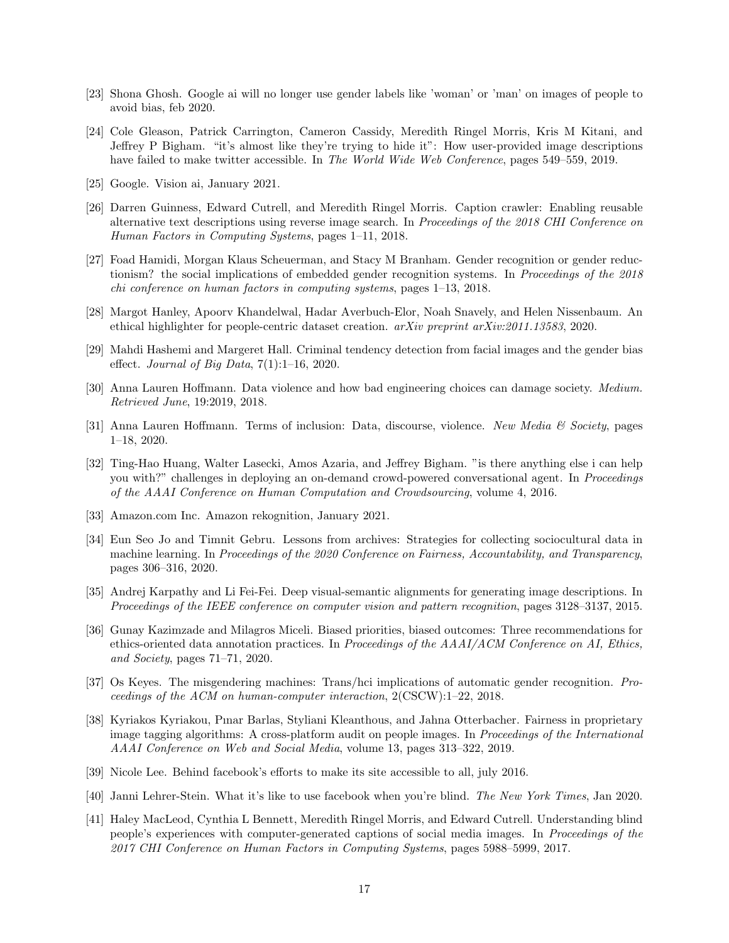- <span id="page-16-17"></span>[23] Shona Ghosh. Google ai will no longer use gender labels like 'woman' or 'man' on images of people to avoid bias, feb 2020.
- <span id="page-16-5"></span>[24] Cole Gleason, Patrick Carrington, Cameron Cassidy, Meredith Ringel Morris, Kris M Kitani, and Jeffrey P Bigham. "it's almost like they're trying to hide it": How user-provided image descriptions have failed to make twitter accessible. In The World Wide Web Conference, pages 549–559, 2019.
- <span id="page-16-8"></span>[25] Google. Vision ai, January 2021.
- <span id="page-16-4"></span>[26] Darren Guinness, Edward Cutrell, and Meredith Ringel Morris. Caption crawler: Enabling reusable alternative text descriptions using reverse image search. In Proceedings of the 2018 CHI Conference on Human Factors in Computing Systems, pages 1–11, 2018.
- <span id="page-16-13"></span>[27] Foad Hamidi, Morgan Klaus Scheuerman, and Stacy M Branham. Gender recognition or gender reductionism? the social implications of embedded gender recognition systems. In Proceedings of the 2018 chi conference on human factors in computing systems, pages 1–13, 2018.
- <span id="page-16-0"></span>[28] Margot Hanley, Apoorv Khandelwal, Hadar Averbuch-Elor, Noah Snavely, and Helen Nissenbaum. An ethical highlighter for people-centric dataset creation. arXiv preprint arXiv:2011.13583, 2020.
- <span id="page-16-14"></span>[29] Mahdi Hashemi and Margeret Hall. Criminal tendency detection from facial images and the gender bias effect. Journal of Big Data,  $7(1):1-16$ , 2020.
- <span id="page-16-15"></span>[30] Anna Lauren Hoffmann. Data violence and how bad engineering choices can damage society. Medium. Retrieved June, 19:2019, 2018.
- <span id="page-16-10"></span>[31] Anna Lauren Hoffmann. Terms of inclusion: Data, discourse, violence. New Media & Society, pages 1–18, 2020.
- <span id="page-16-6"></span>[32] Ting-Hao Huang, Walter Lasecki, Amos Azaria, and Jeffrey Bigham. "is there anything else i can help you with?" challenges in deploying an on-demand crowd-powered conversational agent. In *Proceedings* of the AAAI Conference on Human Computation and Crowdsourcing, volume 4, 2016.
- <span id="page-16-9"></span>[33] Amazon.com Inc. Amazon rekognition, January 2021.
- <span id="page-16-2"></span>[34] Eun Seo Jo and Timnit Gebru. Lessons from archives: Strategies for collecting sociocultural data in machine learning. In Proceedings of the 2020 Conference on Fairness, Accountability, and Transparency, pages 306–316, 2020.
- <span id="page-16-7"></span>[35] Andrej Karpathy and Li Fei-Fei. Deep visual-semantic alignments for generating image descriptions. In Proceedings of the IEEE conference on computer vision and pattern recognition, pages 3128–3137, 2015.
- <span id="page-16-11"></span>[36] Gunay Kazimzade and Milagros Miceli. Biased priorities, biased outcomes: Three recommendations for ethics-oriented data annotation practices. In Proceedings of the  $AAAI/ACM$  Conference on AI, Ethics, and Society, pages 71–71, 2020.
- <span id="page-16-1"></span>[37] Os Keyes. The misgendering machines: Trans/hci implications of automatic gender recognition. Proceedings of the ACM on human-computer interaction, 2(CSCW):1–22, 2018.
- <span id="page-16-12"></span>[38] Kyriakos Kyriakou, Pınar Barlas, Styliani Kleanthous, and Jahna Otterbacher. Fairness in proprietary image tagging algorithms: A cross-platform audit on people images. In Proceedings of the International AAAI Conference on Web and Social Media, volume 13, pages 313–322, 2019.
- <span id="page-16-16"></span>[39] Nicole Lee. Behind facebook's efforts to make its site accessible to all, july 2016.
- <span id="page-16-18"></span>[40] Janni Lehrer-Stein. What it's like to use facebook when you're blind. The New York Times, Jan 2020.
- <span id="page-16-3"></span>[41] Haley MacLeod, Cynthia L Bennett, Meredith Ringel Morris, and Edward Cutrell. Understanding blind people's experiences with computer-generated captions of social media images. In Proceedings of the 2017 CHI Conference on Human Factors in Computing Systems, pages 5988–5999, 2017.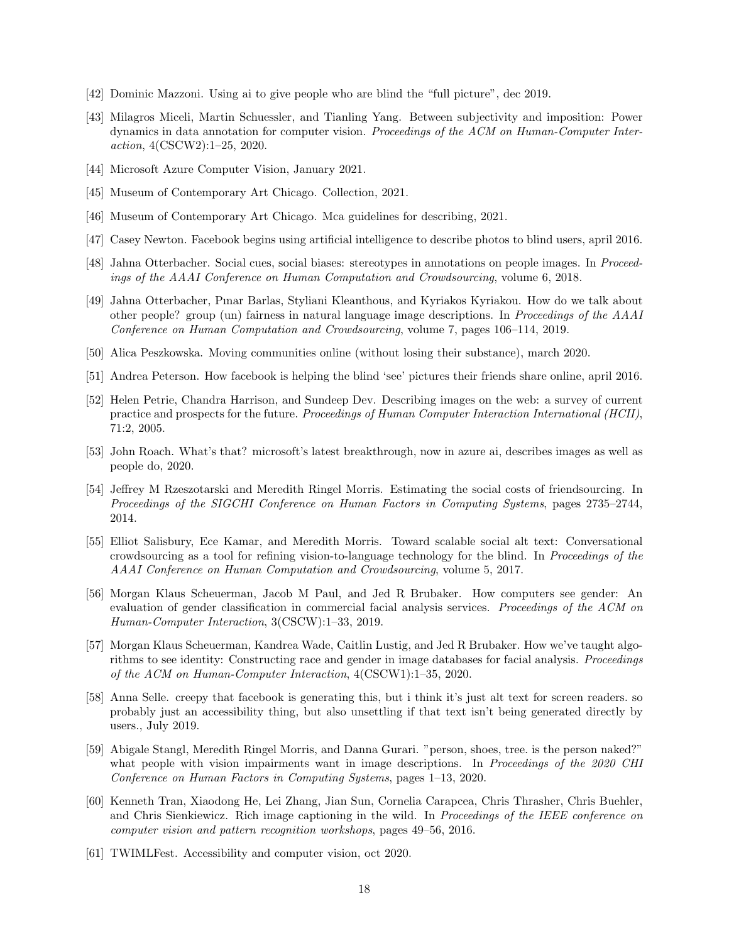- <span id="page-17-1"></span>[42] Dominic Mazzoni. Using ai to give people who are blind the "full picture", dec 2019.
- <span id="page-17-9"></span>[43] Milagros Miceli, Martin Schuessler, and Tianling Yang. Between subjectivity and imposition: Power dynamics in data annotation for computer vision. Proceedings of the ACM on Human-Computer Interaction, 4(CSCW2):1–25, 2020.
- <span id="page-17-7"></span>[44] Microsoft Azure Computer Vision, January 2021.
- <span id="page-17-18"></span>[45] Museum of Contemporary Art Chicago. Collection, 2021.
- <span id="page-17-17"></span>[46] Museum of Contemporary Art Chicago. Mca guidelines for describing, 2021.
- <span id="page-17-12"></span>[47] Casey Newton. Facebook begins using artificial intelligence to describe photos to blind users, april 2016.
- <span id="page-17-10"></span>[48] Jahna Otterbacher. Social cues, social biases: stereotypes in annotations on people images. In Proceedings of the AAAI Conference on Human Computation and Crowdsourcing, volume 6, 2018.
- <span id="page-17-11"></span>[49] Jahna Otterbacher, Pınar Barlas, Styliani Kleanthous, and Kyriakos Kyriakou. How do we talk about other people? group (un) fairness in natural language image descriptions. In Proceedings of the AAAI Conference on Human Computation and Crowdsourcing, volume 7, pages 106–114, 2019.
- <span id="page-17-15"></span>[50] Alica Peszkowska. Moving communities online (without losing their substance), march 2020.
- <span id="page-17-13"></span>[51] Andrea Peterson. How facebook is helping the blind 'see' pictures their friends share online, april 2016.
- <span id="page-17-8"></span>[52] Helen Petrie, Chandra Harrison, and Sundeep Dev. Describing images on the web: a survey of current practice and prospects for the future. Proceedings of Human Computer Interaction International (HCII), 71:2, 2005.
- <span id="page-17-2"></span>[53] John Roach. What's that? microsoft's latest breakthrough, now in azure ai, describes images as well as people do, 2020.
- <span id="page-17-5"></span>[54] Jeffrey M Rzeszotarski and Meredith Ringel Morris. Estimating the social costs of friendsourcing. In Proceedings of the SIGCHI Conference on Human Factors in Computing Systems, pages 2735–2744, 2014.
- <span id="page-17-4"></span>[55] Elliot Salisbury, Ece Kamar, and Meredith Morris. Toward scalable social alt text: Conversational crowdsourcing as a tool for refining vision-to-language technology for the blind. In Proceedings of the AAAI Conference on Human Computation and Crowdsourcing, volume 5, 2017.
- <span id="page-17-0"></span>[56] Morgan Klaus Scheuerman, Jacob M Paul, and Jed R Brubaker. How computers see gender: An evaluation of gender classification in commercial facial analysis services. Proceedings of the ACM on Human-Computer Interaction, 3(CSCW):1–33, 2019.
- <span id="page-17-19"></span>[57] Morgan Klaus Scheuerman, Kandrea Wade, Caitlin Lustig, and Jed R Brubaker. How we've taught algorithms to see identity: Constructing race and gender in image databases for facial analysis. Proceedings of the ACM on Human-Computer Interaction, 4(CSCW1):1–35, 2020.
- <span id="page-17-14"></span>[58] Anna Selle. creepy that facebook is generating this, but i think it's just alt text for screen readers. so probably just an accessibility thing, but also unsettling if that text isn't being generated directly by users., July 2019.
- <span id="page-17-3"></span>[59] Abigale Stangl, Meredith Ringel Morris, and Danna Gurari. "person, shoes, tree. is the person naked?" what people with vision impairments want in image descriptions. In Proceedings of the 2020 CHI Conference on Human Factors in Computing Systems, pages 1–13, 2020.
- <span id="page-17-6"></span>[60] Kenneth Tran, Xiaodong He, Lei Zhang, Jian Sun, Cornelia Carapcea, Chris Thrasher, Chris Buehler, and Chris Sienkiewicz. Rich image captioning in the wild. In Proceedings of the IEEE conference on computer vision and pattern recognition workshops, pages 49–56, 2016.
- <span id="page-17-16"></span>[61] TWIMLFest. Accessibility and computer vision, oct 2020.